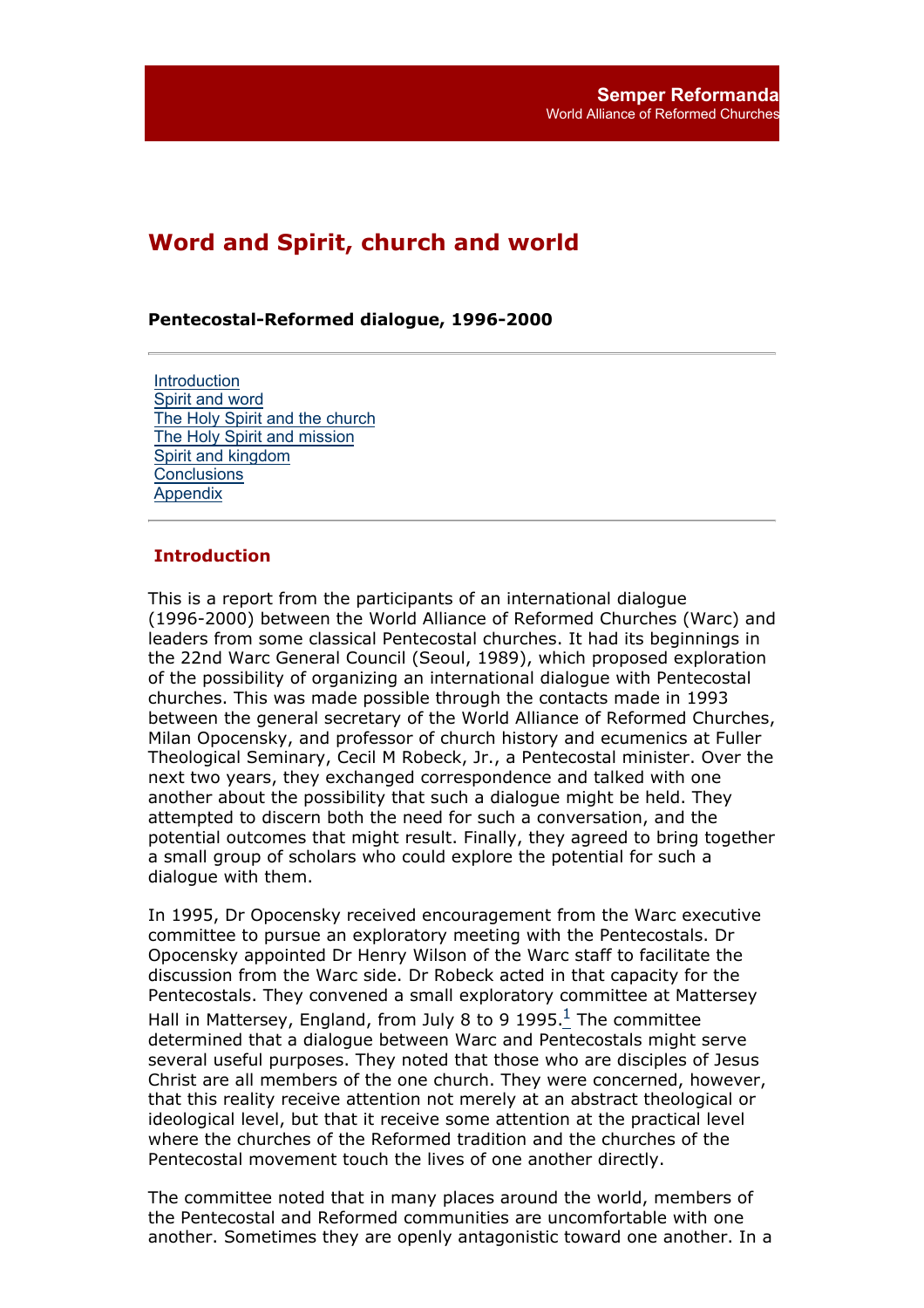# **Word and Spirit, church and world**

#### **Pentecostal-Reformed dialogue, 1996-2000**

**Introduction** Spirit and word The Holy Spirit and the church The Holy Spirit and mission Spirit and kingdom **Conclusions** Appendix

#### **Introduction**

This is a report from the participants of an international dialogue (1996-2000) between the World Alliance of Reformed Churches (Warc) and leaders from some classical Pentecostal churches. It had its beginnings in the 22nd Warc General Council (Seoul, 1989), which proposed exploration of the possibility of organizing an international dialogue with Pentecostal churches. This was made possible through the contacts made in 1993 between the general secretary of the World Alliance of Reformed Churches, Milan Opocensky, and professor of church history and ecumenics at Fuller Theological Seminary, Cecil M Robeck, Jr., a Pentecostal minister. Over the next two years, they exchanged correspondence and talked with one another about the possibility that such a dialogue might be held. They attempted to discern both the need for such a conversation, and the potential outcomes that might result. Finally, they agreed to bring together a small group of scholars who could explore the potential for such a dialogue with them.

In 1995, Dr Opocensky received encouragement from the Warc executive committee to pursue an exploratory meeting with the Pentecostals. Dr Opocensky appointed Dr Henry Wilson of the Warc staff to facilitate the discussion from the Warc side. Dr Robeck acted in that capacity for the Pentecostals. They convened a small exploratory committee at Mattersey Hall in Mattersey, England, from July 8 to 9 1995. $<sup>1</sup>$  The committee</sup> determined that a dialogue between Warc and Pentecostals might serve several useful purposes. They noted that those who are disciples of Jesus Christ are all members of the one church. They were concerned, however, that this reality receive attention not merely at an abstract theological or ideological level, but that it receive some attention at the practical level where the churches of the Reformed tradition and the churches of the Pentecostal movement touch the lives of one another directly.

The committee noted that in many places around the world, members of the Pentecostal and Reformed communities are uncomfortable with one another. Sometimes they are openly antagonistic toward one another. In a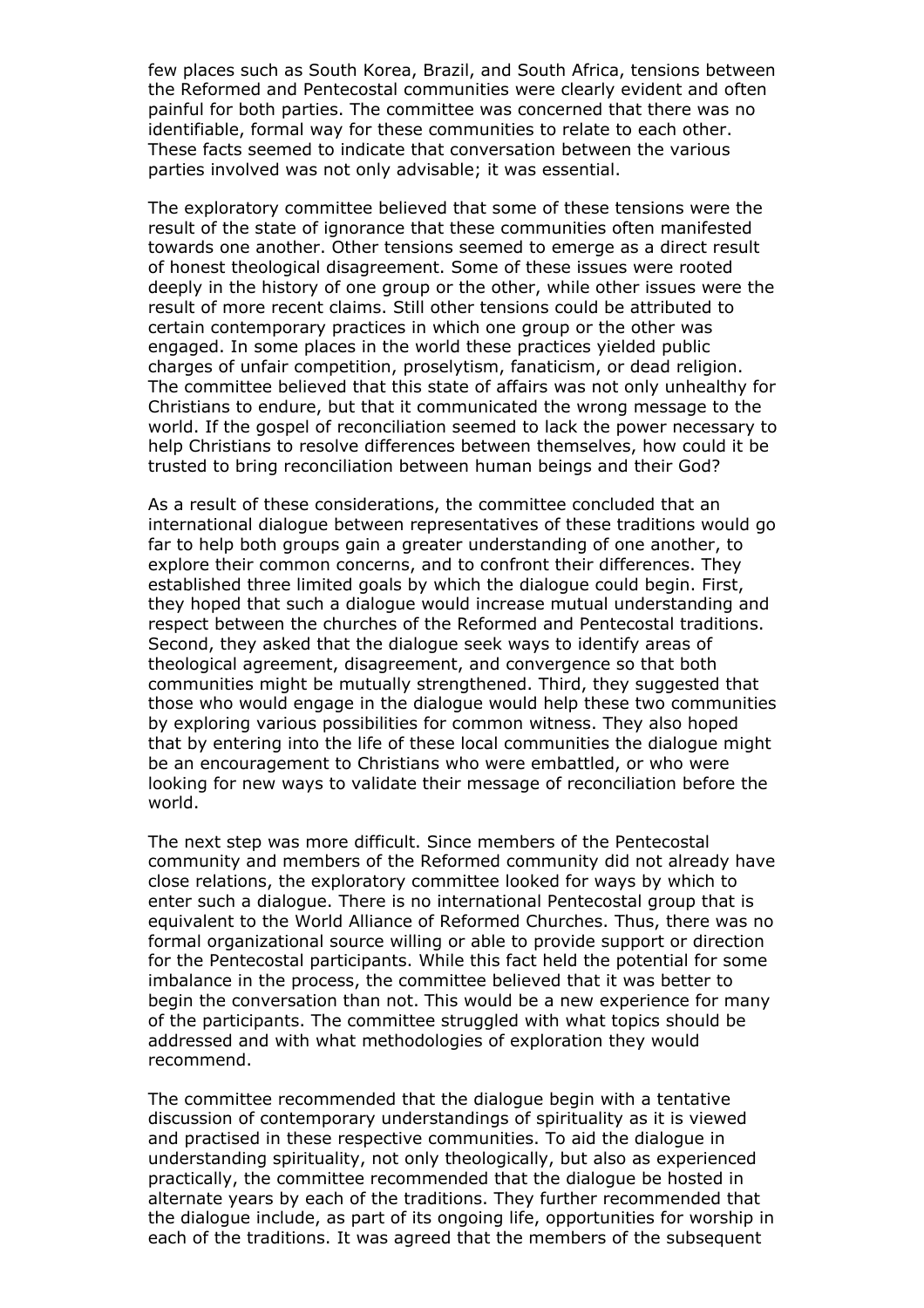few places such as South Korea, Brazil, and South Africa, tensions between the Reformed and Pentecostal communities were clearly evident and often painful for both parties. The committee was concerned that there was no identifiable, formal way for these communities to relate to each other. These facts seemed to indicate that conversation between the various parties involved was not only advisable; it was essential.

The exploratory committee believed that some of these tensions were the result of the state of ignorance that these communities often manifested towards one another. Other tensions seemed to emerge as a direct result of honest theological disagreement. Some of these issues were rooted deeply in the history of one group or the other, while other issues were the result of more recent claims. Still other tensions could be attributed to certain contemporary practices in which one group or the other was engaged. In some places in the world these practices yielded public charges of unfair competition, proselytism, fanaticism, or dead religion. The committee believed that this state of affairs was not only unhealthy for Christians to endure, but that it communicated the wrong message to the world. If the gospel of reconciliation seemed to lack the power necessary to help Christians to resolve differences between themselves, how could it be trusted to bring reconciliation between human beings and their God?

As a result of these considerations, the committee concluded that an international dialogue between representatives of these traditions would go far to help both groups gain a greater understanding of one another, to explore their common concerns, and to confront their differences. They established three limited goals by which the dialogue could begin. First, they hoped that such a dialogue would increase mutual understanding and respect between the churches of the Reformed and Pentecostal traditions. Second, they asked that the dialogue seek ways to identify areas of theological agreement, disagreement, and convergence so that both communities might be mutually strengthened. Third, they suggested that those who would engage in the dialogue would help these two communities by exploring various possibilities for common witness. They also hoped that by entering into the life of these local communities the dialogue might be an encouragement to Christians who were embattled, or who were looking for new ways to validate their message of reconciliation before the world.

The next step was more difficult. Since members of the Pentecostal community and members of the Reformed community did not already have close relations, the exploratory committee looked for ways by which to enter such a dialogue. There is no international Pentecostal group that is equivalent to the World Alliance of Reformed Churches. Thus, there was no formal organizational source willing or able to provide support or direction for the Pentecostal participants. While this fact held the potential for some imbalance in the process, the committee believed that it was better to begin the conversation than not. This would be a new experience for many of the participants. The committee struggled with what topics should be addressed and with what methodologies of exploration they would recommend.

The committee recommended that the dialogue begin with a tentative discussion of contemporary understandings of spirituality as it is viewed and practised in these respective communities. To aid the dialogue in understanding spirituality, not only theologically, but also as experienced practically, the committee recommended that the dialogue be hosted in alternate years by each of the traditions. They further recommended that the dialogue include, as part of its ongoing life, opportunities for worship in each of the traditions. It was agreed that the members of the subsequent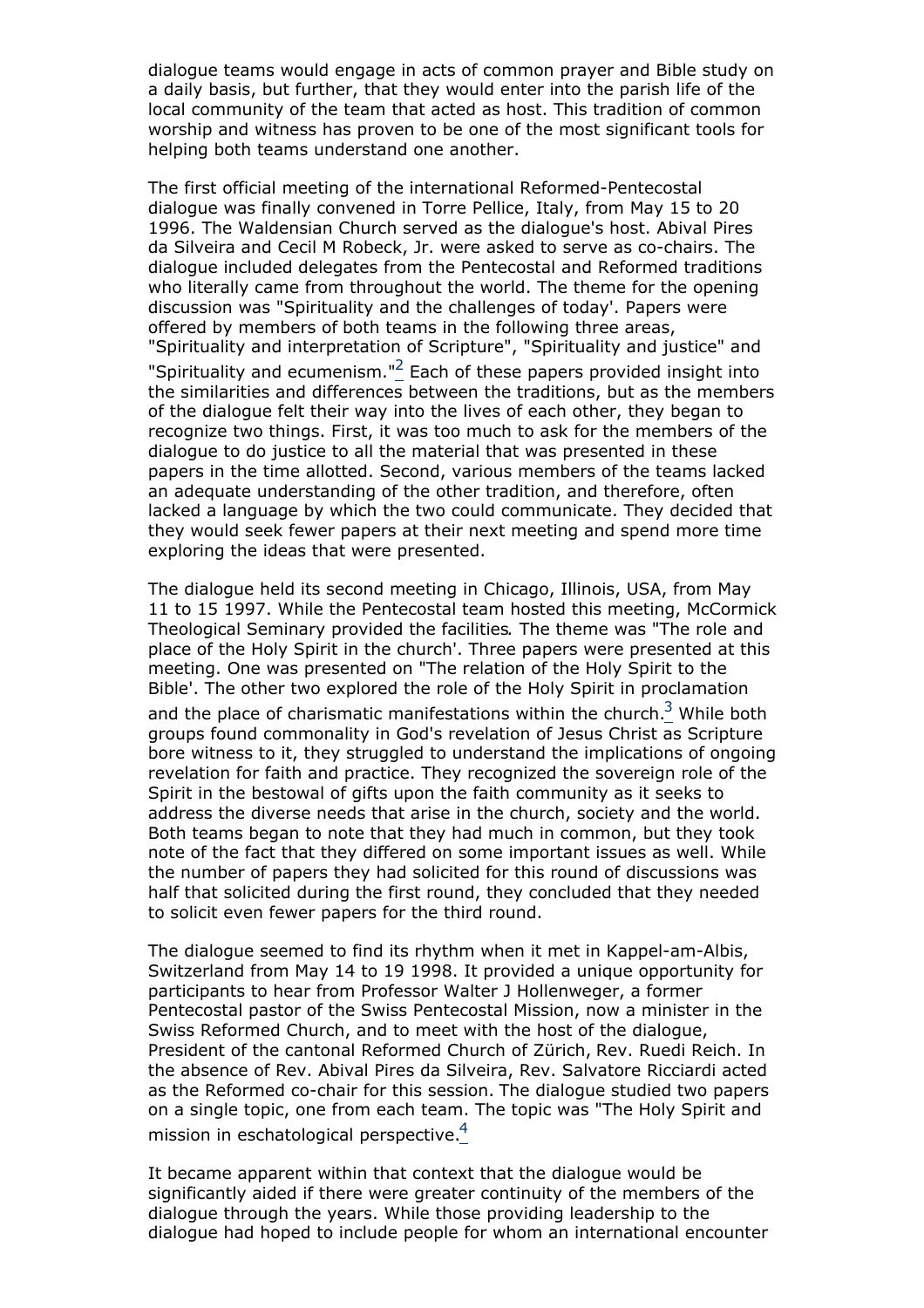dialogue teams would engage in acts of common prayer and Bible study on a daily basis, but further, that they would enter into the parish life of the local community of the team that acted as host. This tradition of common worship and witness has proven to be one of the most significant tools for helping both teams understand one another.

The first official meeting of the international Reformed-Pentecostal dialogue was finally convened in Torre Pellice, Italy, from May 15 to 20 1996. The Waldensian Church served as the dialogue's host. Abival Pires da Silveira and Cecil M Robeck, Jr. were asked to serve as co-chairs. The dialogue included delegates from the Pentecostal and Reformed traditions who literally came from throughout the world. The theme for the opening discussion was "Spirituality and the challenges of today'. Papers were offered by members of both teams in the following three areas, "Spirituality and interpretation of Scripture", "Spirituality and justice" and "Spirituality and ecumenism."2 Each of these papers provided insight into the similarities and differences between the traditions, but as the members of the dialogue felt their way into the lives of each other, they began to recognize two things. First, it was too much to ask for the members of the dialogue to do justice to all the material that was presented in these papers in the time allotted. Second, various members of the teams lacked an adequate understanding of the other tradition, and therefore, often lacked a language by which the two could communicate. They decided that they would seek fewer papers at their next meeting and spend more time exploring the ideas that were presented.

The dialogue held its second meeting in Chicago, Illinois, USA, from May 11 to 15 1997. While the Pentecostal team hosted this meeting, McCormick Theological Seminary provided the facilities*.* The theme was "The role and place of the Holy Spirit in the church'. Three papers were presented at this meeting. One was presented on "The relation of the Holy Spirit to the Bible'. The other two explored the role of the Holy Spirit in proclamation and the place of charismatic manifestations within the church.<sup>3</sup> While both groups found commonality in God's revelation of Jesus Christ as Scripture bore witness to it, they struggled to understand the implications of ongoing revelation for faith and practice. They recognized the sovereign role of the Spirit in the bestowal of gifts upon the faith community as it seeks to address the diverse needs that arise in the church, society and the world. Both teams began to note that they had much in common, but they took note of the fact that they differed on some important issues as well. While the number of papers they had solicited for this round of discussions was half that solicited during the first round, they concluded that they needed to solicit even fewer papers for the third round.

The dialogue seemed to find its rhythm when it met in Kappel-am-Albis, Switzerland from May 14 to 19 1998. It provided a unique opportunity for participants to hear from Professor Walter J Hollenweger, a former Pentecostal pastor of the Swiss Pentecostal Mission, now a minister in the Swiss Reformed Church, and to meet with the host of the dialogue, President of the cantonal Reformed Church of Zürich, Rev. Ruedi Reich. In the absence of Rev. Abival Pires da Silveira, Rev. Salvatore Ricciardi acted as the Reformed co-chair for this session. The dialogue studied two papers on a single topic, one from each team. The topic was "The Holy Spirit and mission in eschatological perspective.<sup>4</sup>

It became apparent within that context that the dialogue would be significantly aided if there were greater continuity of the members of the dialogue through the years. While those providing leadership to the dialogue had hoped to include people for whom an international encounter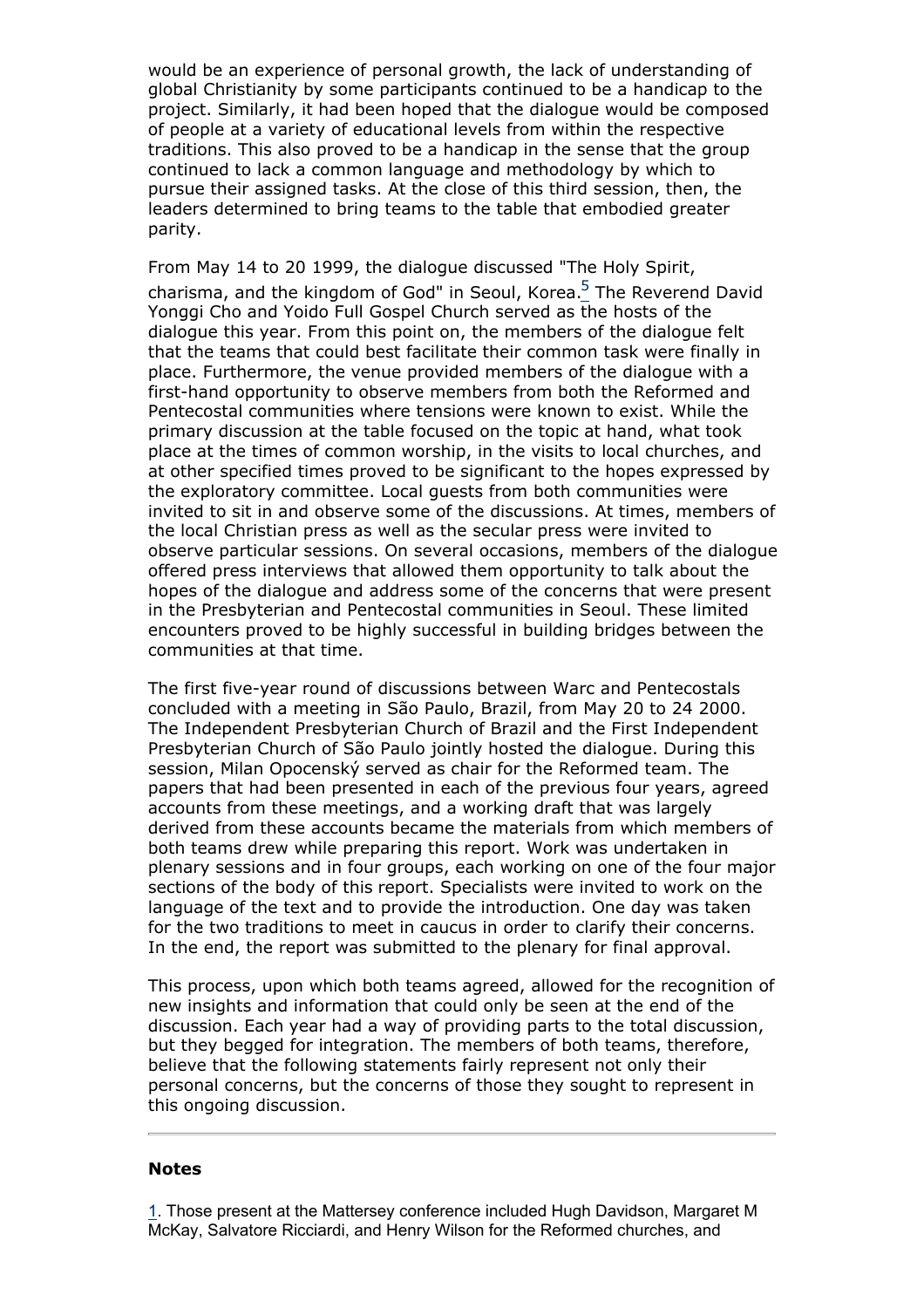would be an experience of personal growth, the lack of understanding of global Christianity by some participants continued to be a handicap to the project. Similarly, it had been hoped that the dialogue would be composed of people at a variety of educational levels from within the respective traditions. This also proved to be a handicap in the sense that the group continued to lack a common language and methodology by which to pursue their assigned tasks. At the close of this third session, then, the leaders determined to bring teams to the table that embodied greater parity.

From May 14 to 20 1999, the dialogue discussed "The Holy Spirit, charisma, and the kingdom of God" in Seoul, Korea.<sup>5</sup> The Reverend David Yonggi Cho and Yoido Full Gospel Church served as the hosts of the dialogue this year. From this point on, the members of the dialogue felt that the teams that could best facilitate their common task were finally in place. Furthermore, the venue provided members of the dialogue with a first-hand opportunity to observe members from both the Reformed and Pentecostal communities where tensions were known to exist. While the primary discussion at the table focused on the topic at hand, what took place at the times of common worship, in the visits to local churches, and at other specified times proved to be significant to the hopes expressed by the exploratory committee. Local guests from both communities were invited to sit in and observe some of the discussions. At times, members of the local Christian press as well as the secular press were invited to observe particular sessions. On several occasions, members of the dialogue offered press interviews that allowed them opportunity to talk about the hopes of the dialogue and address some of the concerns that were present in the Presbyterian and Pentecostal communities in Seoul. These limited encounters proved to be highly successful in building bridges between the communities at that time.

The first five-year round of discussions between Warc and Pentecostals concluded with a meeting in São Paulo, Brazil, from May 20 to 24 2000. The Independent Presbyterian Church of Brazil and the First Independent Presbyterian Church of São Paulo jointly hosted the dialogue. During this session, Milan Opocenský served as chair for the Reformed team. The papers that had been presented in each of the previous four years, agreed accounts from these meetings, and a working draft that was largely derived from these accounts became the materials from which members of both teams drew while preparing this report. Work was undertaken in plenary sessions and in four groups, each working on one of the four major sections of the body of this report. Specialists were invited to work on the language of the text and to provide the introduction. One day was taken for the two traditions to meet in caucus in order to clarify their concerns. In the end, the report was submitted to the plenary for final approval.

This process, upon which both teams agreed, allowed for the recognition of new insights and information that could only be seen at the end of the discussion. Each year had a way of providing parts to the total discussion, but they begged for integration. The members of both teams, therefore, believe that the following statements fairly represent not only their personal concerns, but the concerns of those they sought to represent in this ongoing discussion.

#### **Notes**

1. Those present at the Mattersey conference included Hugh Davidson, Margaret M McKay, Salvatore Ricciardi, and Henry Wilson for the Reformed churches, and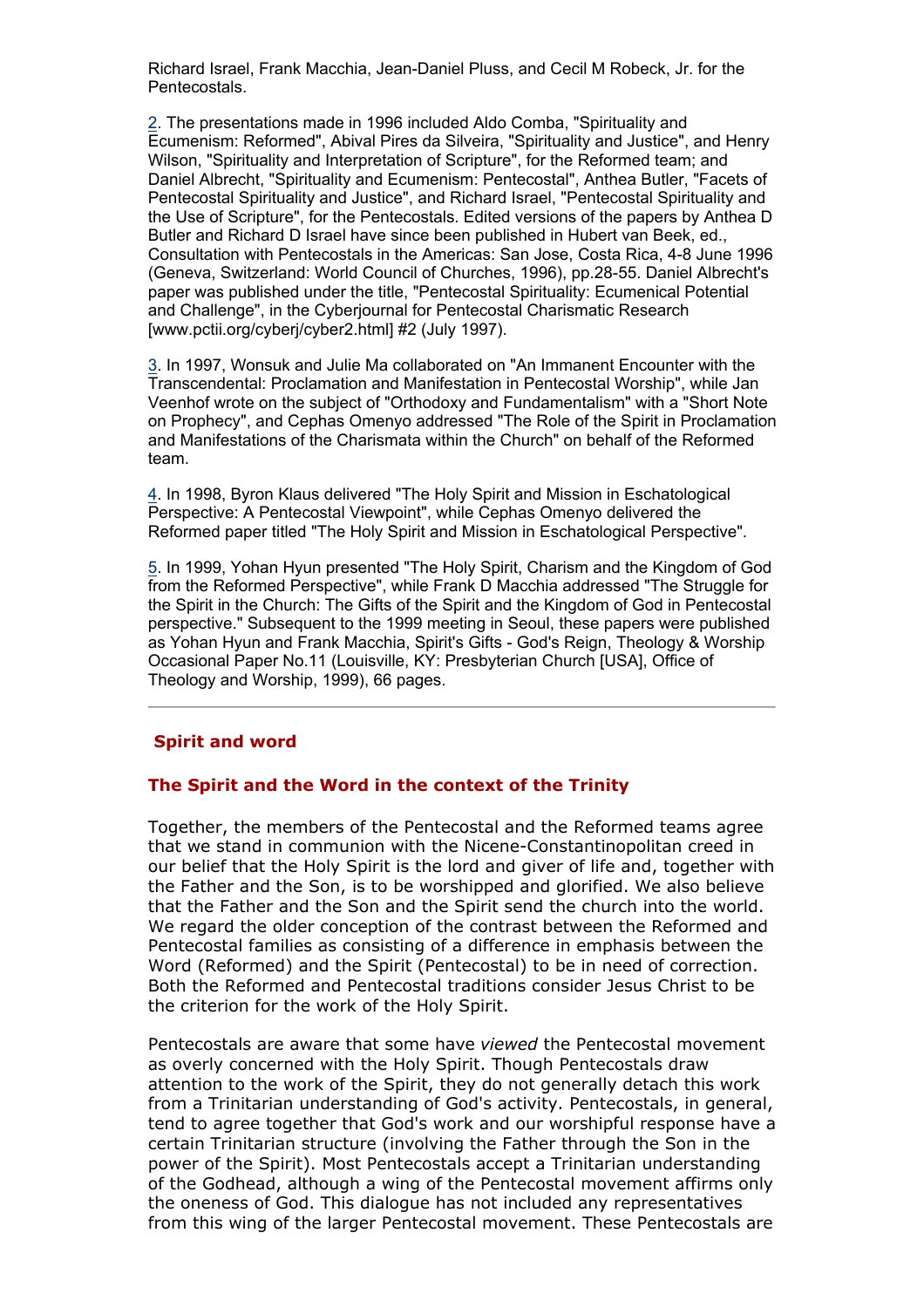Richard Israel, Frank Macchia, Jean-Daniel Pluss, and Cecil M Robeck, Jr. for the Pentecostals.

2. The presentations made in 1996 included Aldo Comba, "Spirituality and Ecumenism: Reformed", Abival Pires da Silveira, "Spirituality and Justice", and Henry Wilson, "Spirituality and Interpretation of Scripture", for the Reformed team; and Daniel Albrecht, "Spirituality and Ecumenism: Pentecostal", Anthea Butler, "Facets of Pentecostal Spirituality and Justice", and Richard Israel, "Pentecostal Spirituality and the Use of Scripture", for the Pentecostals. Edited versions of the papers by Anthea D Butler and Richard D Israel have since been published in Hubert van Beek, ed., Consultation with Pentecostals in the Americas: San Jose, Costa Rica, 4-8 June 1996 (Geneva, Switzerland: World Council of Churches, 1996), pp.28-55. Daniel Albrecht's paper was published under the title, "Pentecostal Spirituality: Ecumenical Potential and Challenge", in the Cyberjournal for Pentecostal Charismatic Research [www.pctii.org/cyberj/cyber2.html] #2 (July 1997).

3. In 1997, Wonsuk and Julie Ma collaborated on "An Immanent Encounter with the Transcendental: Proclamation and Manifestation in Pentecostal Worship", while Jan Veenhof wrote on the subject of "Orthodoxy and Fundamentalism" with a "Short Note on Prophecy", and Cephas Omenyo addressed "The Role of the Spirit in Proclamation and Manifestations of the Charismata within the Church" on behalf of the Reformed team.

4. In 1998, Byron Klaus delivered "The Holy Spirit and Mission in Eschatological Perspective: A Pentecostal Viewpoint", while Cephas Omenyo delivered the Reformed paper titled "The Holy Spirit and Mission in Eschatological Perspective".

5. In 1999, Yohan Hyun presented "The Holy Spirit, Charism and the Kingdom of God from the Reformed Perspective", while Frank D Macchia addressed "The Struggle for the Spirit in the Church: The Gifts of the Spirit and the Kingdom of God in Pentecostal perspective." Subsequent to the 1999 meeting in Seoul, these papers were published as Yohan Hyun and Frank Macchia, Spirit's Gifts - God's Reign, Theology & Worship Occasional Paper No.11 (Louisville, KY: Presbyterian Church [USA], Office of Theology and Worship, 1999), 66 pages.

#### **Spirit and word**

#### **The Spirit and the Word in the context of the Trinity**

Together, the members of the Pentecostal and the Reformed teams agree that we stand in communion with the Nicene-Constantinopolitan creed in our belief that the Holy Spirit is the lord and giver of life and, together with the Father and the Son, is to be worshipped and glorified. We also believe that the Father and the Son and the Spirit send the church into the world. We regard the older conception of the contrast between the Reformed and Pentecostal families as consisting of a difference in emphasis between the Word (Reformed) and the Spirit (Pentecostal) to be in need of correction. Both the Reformed and Pentecostal traditions consider Jesus Christ to be the criterion for the work of the Holy Spirit.

Pentecostals are aware that some have *viewed* the Pentecostal movement as overly concerned with the Holy Spirit. Though Pentecostals draw attention to the work of the Spirit, they do not generally detach this work from a Trinitarian understanding of God's activity. Pentecostals, in general, tend to agree together that God's work and our worshipful response have a certain Trinitarian structure (involving the Father through the Son in the power of the Spirit). Most Pentecostals accept a Trinitarian understanding of the Godhead, although a wing of the Pentecostal movement affirms only the oneness of God. This dialogue has not included any representatives from this wing of the larger Pentecostal movement. These Pentecostals are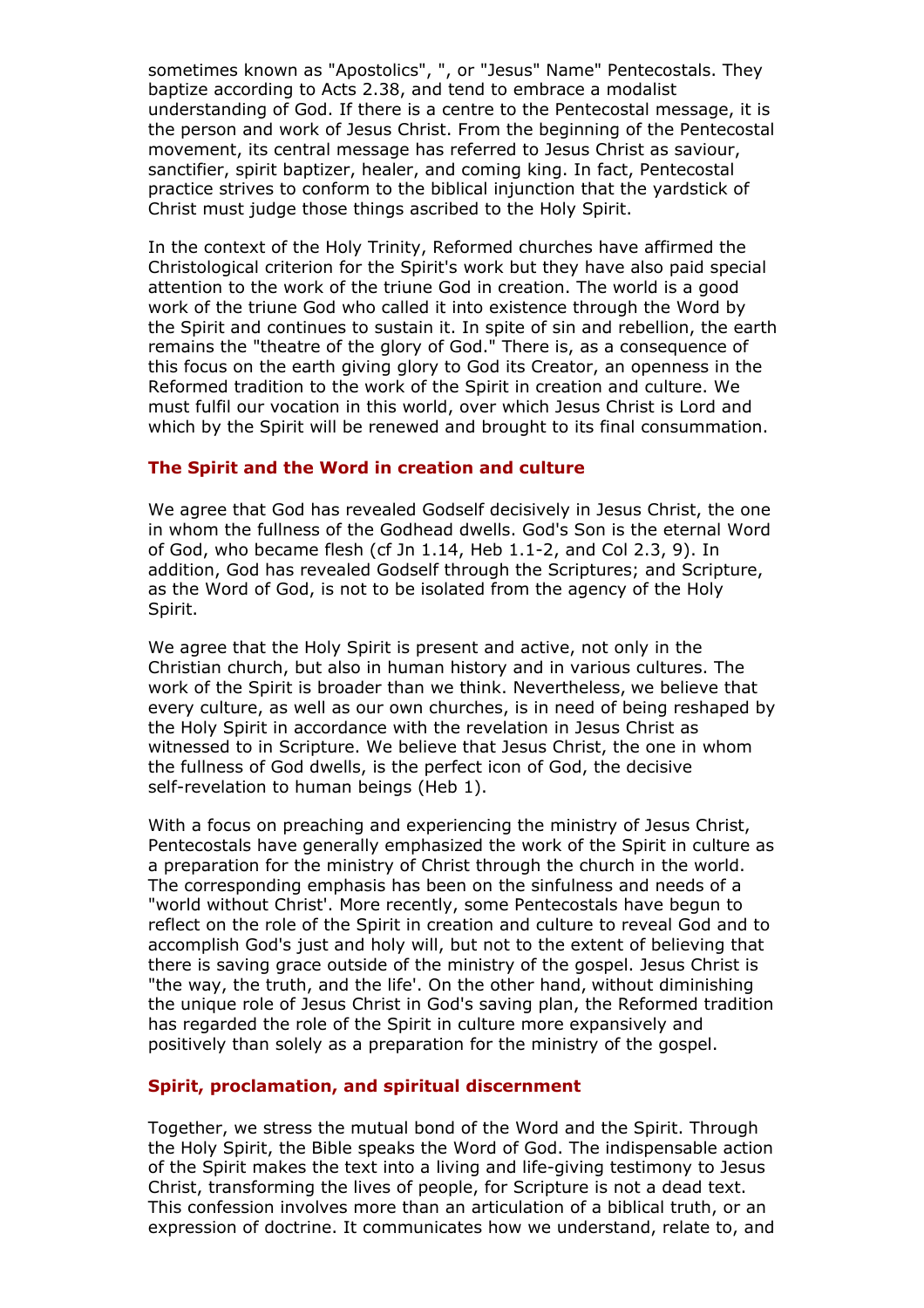sometimes known as "Apostolics", ", or "Jesus" Name" Pentecostals. They baptize according to Acts 2.38, and tend to embrace a modalist understanding of God. If there is a centre to the Pentecostal message, it is the person and work of Jesus Christ. From the beginning of the Pentecostal movement, its central message has referred to Jesus Christ as saviour, sanctifier, spirit baptizer, healer, and coming king. In fact, Pentecostal practice strives to conform to the biblical injunction that the yardstick of Christ must judge those things ascribed to the Holy Spirit.

In the context of the Holy Trinity, Reformed churches have affirmed the Christological criterion for the Spirit's work but they have also paid special attention to the work of the triune God in creation. The world is a good work of the triune God who called it into existence through the Word by the Spirit and continues to sustain it. In spite of sin and rebellion, the earth remains the "theatre of the glory of God." There is, as a consequence of this focus on the earth giving glory to God its Creator, an openness in the Reformed tradition to the work of the Spirit in creation and culture. We must fulfil our vocation in this world, over which Jesus Christ is Lord and which by the Spirit will be renewed and brought to its final consummation.

## **The Spirit and the Word in creation and culture**

We agree that God has revealed Godself decisively in Jesus Christ, the one in whom the fullness of the Godhead dwells. God's Son is the eternal Word of God, who became flesh (cf Jn 1.14, Heb 1.1-2, and Col 2.3, 9). In addition, God has revealed Godself through the Scriptures; and Scripture, as the Word of God, is not to be isolated from the agency of the Holy Spirit.

We agree that the Holy Spirit is present and active, not only in the Christian church, but also in human history and in various cultures. The work of the Spirit is broader than we think. Nevertheless, we believe that every culture, as well as our own churches, is in need of being reshaped by the Holy Spirit in accordance with the revelation in Jesus Christ as witnessed to in Scripture. We believe that Jesus Christ, the one in whom the fullness of God dwells, is the perfect icon of God, the decisive self-revelation to human beings (Heb 1).

With a focus on preaching and experiencing the ministry of Jesus Christ, Pentecostals have generally emphasized the work of the Spirit in culture as a preparation for the ministry of Christ through the church in the world. The corresponding emphasis has been on the sinfulness and needs of a "world without Christ'. More recently, some Pentecostals have begun to reflect on the role of the Spirit in creation and culture to reveal God and to accomplish God's just and holy will, but not to the extent of believing that there is saving grace outside of the ministry of the gospel. Jesus Christ is "the way, the truth, and the life'. On the other hand, without diminishing the unique role of Jesus Christ in God's saving plan, the Reformed tradition has regarded the role of the Spirit in culture more expansively and positively than solely as a preparation for the ministry of the gospel.

## **Spirit, proclamation, and spiritual discernment**

Together, we stress the mutual bond of the Word and the Spirit. Through the Holy Spirit, the Bible speaks the Word of God. The indispensable action of the Spirit makes the text into a living and life-giving testimony to Jesus Christ, transforming the lives of people, for Scripture is not a dead text. This confession involves more than an articulation of a biblical truth, or an expression of doctrine. It communicates how we understand, relate to, and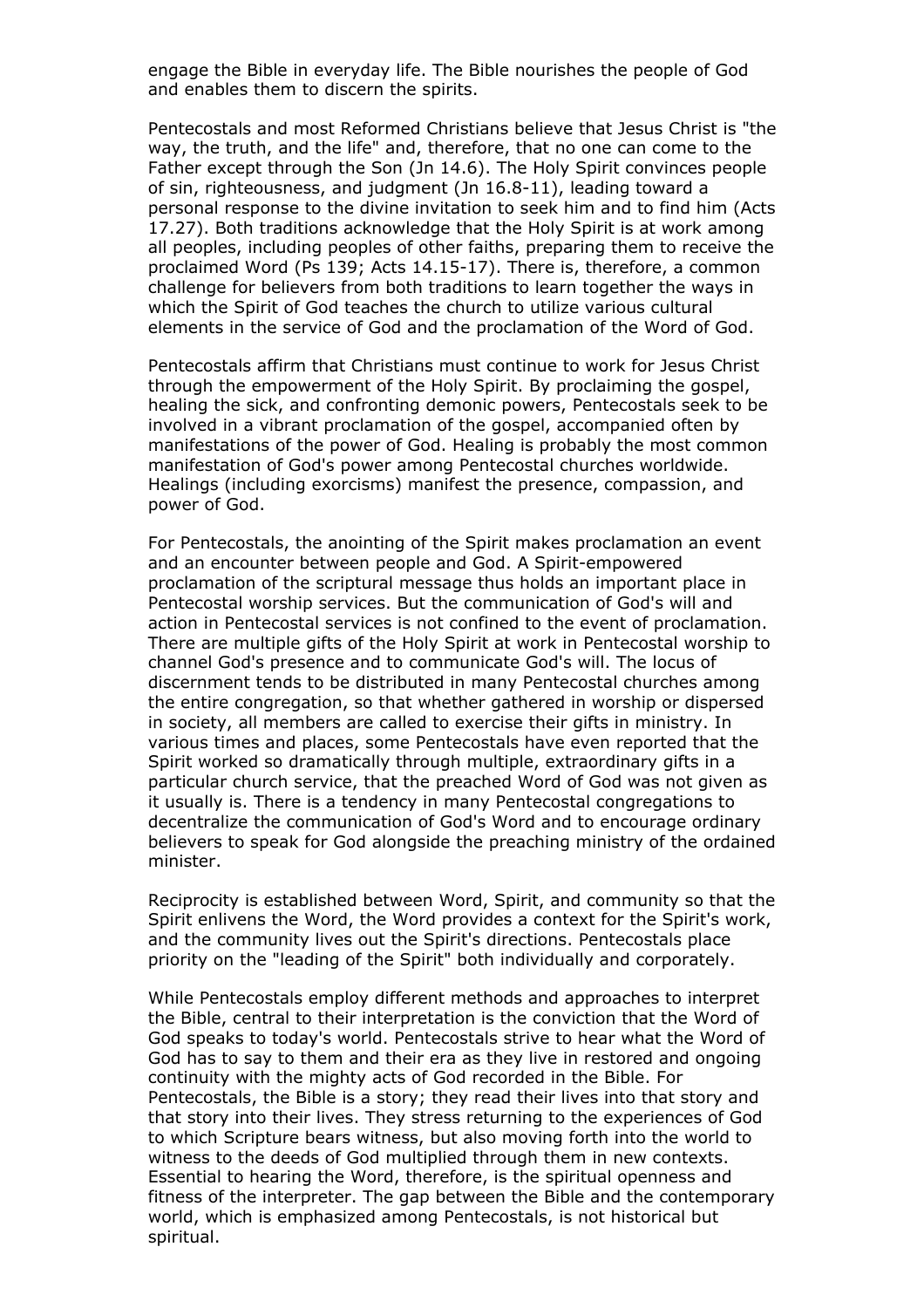engage the Bible in everyday life. The Bible nourishes the people of God and enables them to discern the spirits.

Pentecostals and most Reformed Christians believe that Jesus Christ is "the way, the truth, and the life" and, therefore, that no one can come to the Father except through the Son (Jn 14.6). The Holy Spirit convinces people of sin, righteousness, and judgment (Jn 16.8-11), leading toward a personal response to the divine invitation to seek him and to find him (Acts 17.27). Both traditions acknowledge that the Holy Spirit is at work among all peoples, including peoples of other faiths, preparing them to receive the proclaimed Word (Ps 139; Acts 14.15-17). There is, therefore, a common challenge for believers from both traditions to learn together the ways in which the Spirit of God teaches the church to utilize various cultural elements in the service of God and the proclamation of the Word of God.

Pentecostals affirm that Christians must continue to work for Jesus Christ through the empowerment of the Holy Spirit. By proclaiming the gospel, healing the sick, and confronting demonic powers, Pentecostals seek to be involved in a vibrant proclamation of the gospel, accompanied often by manifestations of the power of God. Healing is probably the most common manifestation of God's power among Pentecostal churches worldwide. Healings (including exorcisms) manifest the presence, compassion, and power of God.

For Pentecostals, the anointing of the Spirit makes proclamation an event and an encounter between people and God. A Spirit-empowered proclamation of the scriptural message thus holds an important place in Pentecostal worship services. But the communication of God's will and action in Pentecostal services is not confined to the event of proclamation. There are multiple gifts of the Holy Spirit at work in Pentecostal worship to channel God's presence and to communicate God's will. The locus of discernment tends to be distributed in many Pentecostal churches among the entire congregation, so that whether gathered in worship or dispersed in society, all members are called to exercise their gifts in ministry. In various times and places, some Pentecostals have even reported that the Spirit worked so dramatically through multiple, extraordinary gifts in a particular church service, that the preached Word of God was not given as it usually is. There is a tendency in many Pentecostal congregations to decentralize the communication of God's Word and to encourage ordinary believers to speak for God alongside the preaching ministry of the ordained minister.

Reciprocity is established between Word, Spirit, and community so that the Spirit enlivens the Word, the Word provides a context for the Spirit's work, and the community lives out the Spirit's directions. Pentecostals place priority on the "leading of the Spirit" both individually and corporately.

While Pentecostals employ different methods and approaches to interpret the Bible, central to their interpretation is the conviction that the Word of God speaks to today's world. Pentecostals strive to hear what the Word of God has to say to them and their era as they live in restored and ongoing continuity with the mighty acts of God recorded in the Bible. For Pentecostals, the Bible is a story; they read their lives into that story and that story into their lives. They stress returning to the experiences of God to which Scripture bears witness, but also moving forth into the world to witness to the deeds of God multiplied through them in new contexts. Essential to hearing the Word, therefore, is the spiritual openness and fitness of the interpreter. The gap between the Bible and the contemporary world, which is emphasized among Pentecostals, is not historical but spiritual.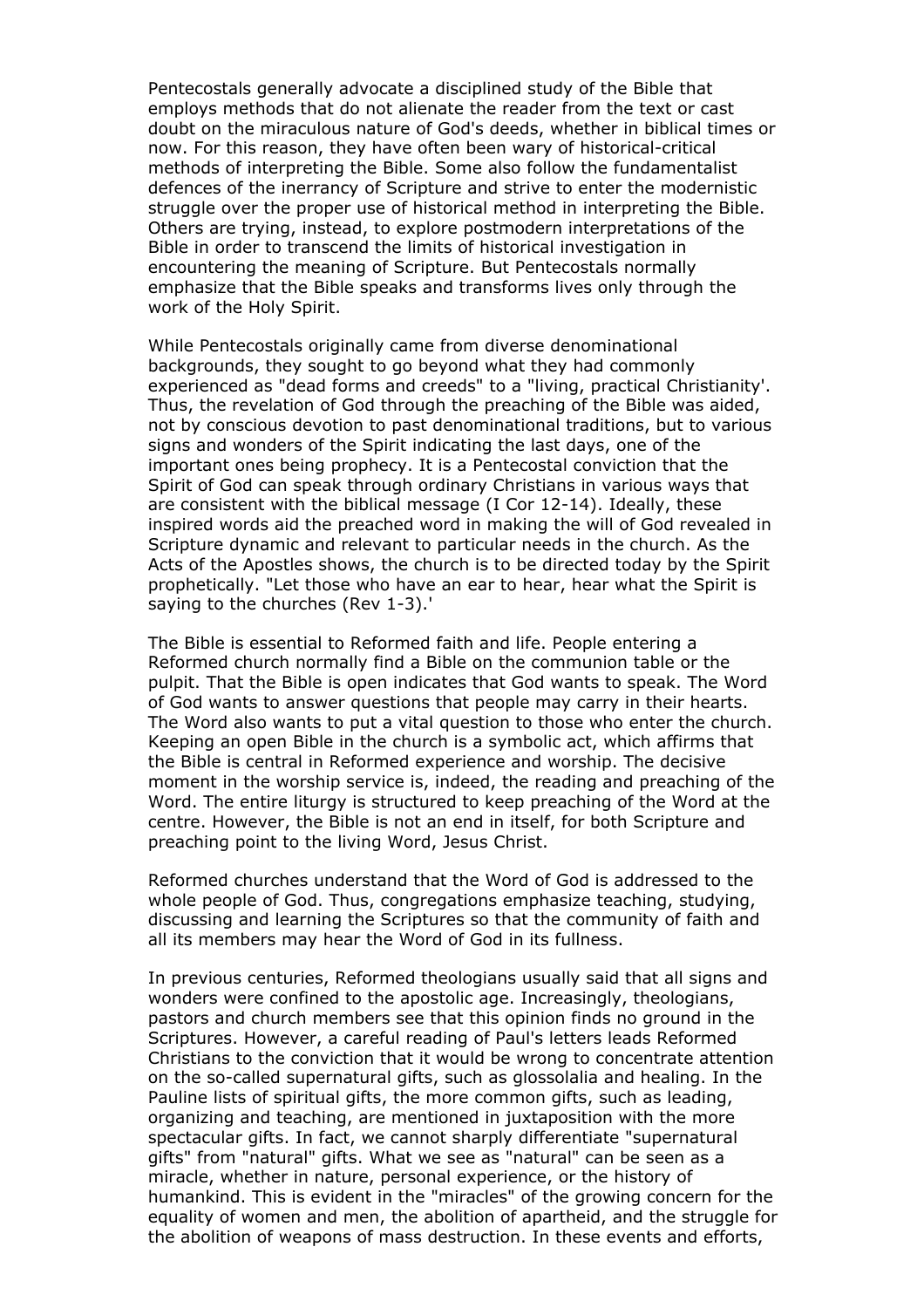Pentecostals generally advocate a disciplined study of the Bible that employs methods that do not alienate the reader from the text or cast doubt on the miraculous nature of God's deeds, whether in biblical times or now. For this reason, they have often been wary of historical-critical methods of interpreting the Bible. Some also follow the fundamentalist defences of the inerrancy of Scripture and strive to enter the modernistic struggle over the proper use of historical method in interpreting the Bible. Others are trying, instead, to explore postmodern interpretations of the Bible in order to transcend the limits of historical investigation in encountering the meaning of Scripture. But Pentecostals normally emphasize that the Bible speaks and transforms lives only through the work of the Holy Spirit.

While Pentecostals originally came from diverse denominational backgrounds, they sought to go beyond what they had commonly experienced as "dead forms and creeds" to a "living, practical Christianity'. Thus, the revelation of God through the preaching of the Bible was aided, not by conscious devotion to past denominational traditions, but to various signs and wonders of the Spirit indicating the last days, one of the important ones being prophecy. It is a Pentecostal conviction that the Spirit of God can speak through ordinary Christians in various ways that are consistent with the biblical message (I Cor 12-14). Ideally, these inspired words aid the preached word in making the will of God revealed in Scripture dynamic and relevant to particular needs in the church. As the Acts of the Apostles shows, the church is to be directed today by the Spirit prophetically. "Let those who have an ear to hear, hear what the Spirit is saying to the churches (Rev 1-3).'

The Bible is essential to Reformed faith and life. People entering a Reformed church normally find a Bible on the communion table or the pulpit. That the Bible is open indicates that God wants to speak. The Word of God wants to answer questions that people may carry in their hearts. The Word also wants to put a vital question to those who enter the church. Keeping an open Bible in the church is a symbolic act, which affirms that the Bible is central in Reformed experience and worship. The decisive moment in the worship service is, indeed, the reading and preaching of the Word. The entire liturgy is structured to keep preaching of the Word at the centre. However, the Bible is not an end in itself, for both Scripture and preaching point to the living Word, Jesus Christ.

Reformed churches understand that the Word of God is addressed to the whole people of God. Thus, congregations emphasize teaching, studying, discussing and learning the Scriptures so that the community of faith and all its members may hear the Word of God in its fullness.

In previous centuries, Reformed theologians usually said that all signs and wonders were confined to the apostolic age. Increasingly, theologians, pastors and church members see that this opinion finds no ground in the Scriptures. However, a careful reading of Paul's letters leads Reformed Christians to the conviction that it would be wrong to concentrate attention on the so-called supernatural gifts, such as glossolalia and healing. In the Pauline lists of spiritual gifts, the more common gifts, such as leading, organizing and teaching, are mentioned in juxtaposition with the more spectacular gifts. In fact, we cannot sharply differentiate "supernatural gifts" from "natural" gifts. What we see as "natural" can be seen as a miracle, whether in nature, personal experience, or the history of humankind. This is evident in the "miracles" of the growing concern for the equality of women and men, the abolition of apartheid, and the struggle for the abolition of weapons of mass destruction. In these events and efforts,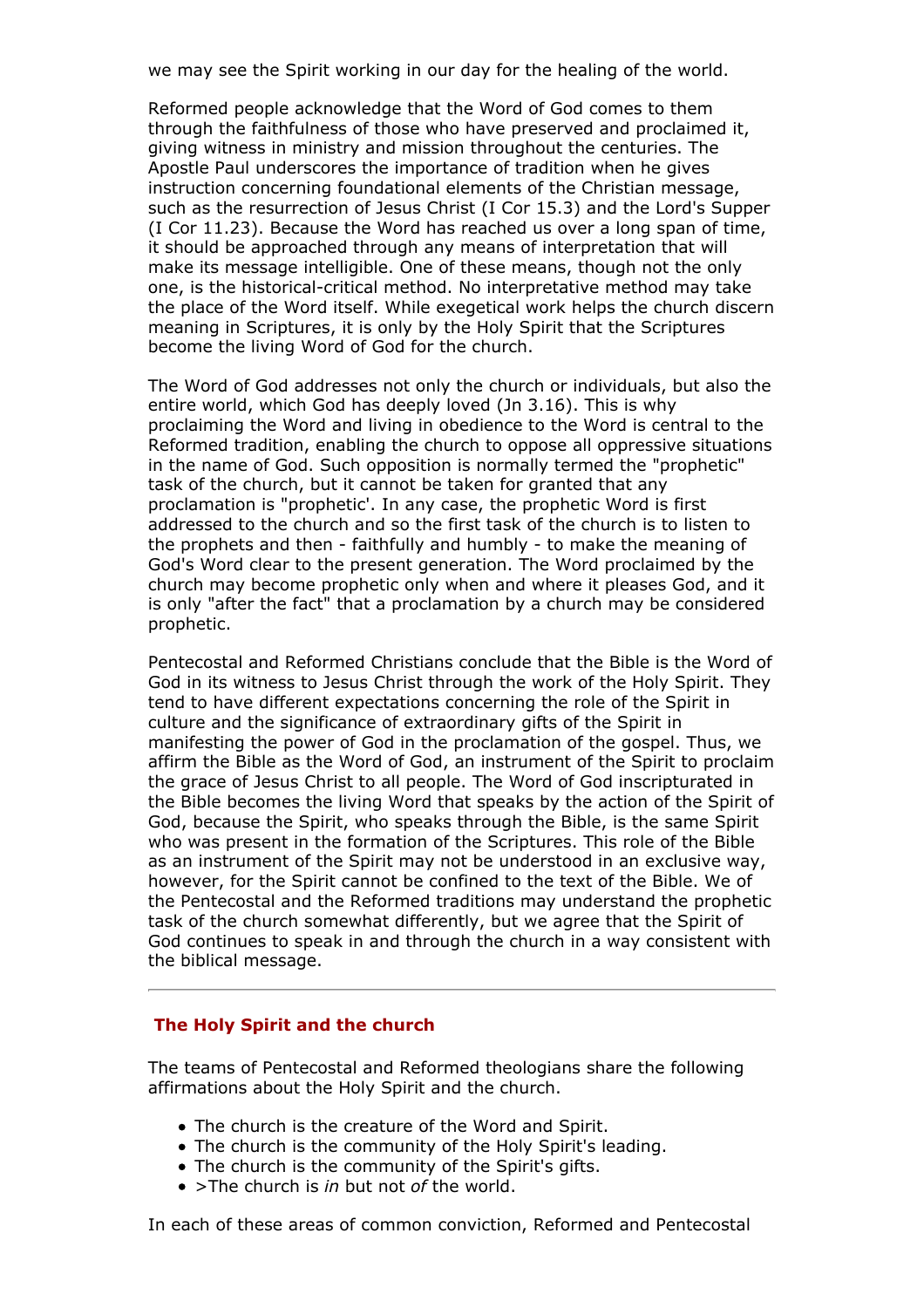we may see the Spirit working in our day for the healing of the world.

Reformed people acknowledge that the Word of God comes to them through the faithfulness of those who have preserved and proclaimed it, giving witness in ministry and mission throughout the centuries. The Apostle Paul underscores the importance of tradition when he gives instruction concerning foundational elements of the Christian message, such as the resurrection of Jesus Christ (I Cor 15.3) and the Lord's Supper (I Cor 11.23). Because the Word has reached us over a long span of time, it should be approached through any means of interpretation that will make its message intelligible. One of these means, though not the only one, is the historical-critical method. No interpretative method may take the place of the Word itself. While exegetical work helps the church discern meaning in Scriptures, it is only by the Holy Spirit that the Scriptures become the living Word of God for the church.

The Word of God addresses not only the church or individuals, but also the entire world, which God has deeply loved (Jn 3.16). This is why proclaiming the Word and living in obedience to the Word is central to the Reformed tradition, enabling the church to oppose all oppressive situations in the name of God. Such opposition is normally termed the "prophetic" task of the church, but it cannot be taken for granted that any proclamation is "prophetic'. In any case, the prophetic Word is first addressed to the church and so the first task of the church is to listen to the prophets and then - faithfully and humbly - to make the meaning of God's Word clear to the present generation. The Word proclaimed by the church may become prophetic only when and where it pleases God, and it is only "after the fact" that a proclamation by a church may be considered prophetic.

Pentecostal and Reformed Christians conclude that the Bible is the Word of God in its witness to Jesus Christ through the work of the Holy Spirit. They tend to have different expectations concerning the role of the Spirit in culture and the significance of extraordinary gifts of the Spirit in manifesting the power of God in the proclamation of the gospel. Thus, we affirm the Bible as the Word of God, an instrument of the Spirit to proclaim the grace of Jesus Christ to all people. The Word of God inscripturated in the Bible becomes the living Word that speaks by the action of the Spirit of God, because the Spirit, who speaks through the Bible, is the same Spirit who was present in the formation of the Scriptures. This role of the Bible as an instrument of the Spirit may not be understood in an exclusive way, however, for the Spirit cannot be confined to the text of the Bible. We of the Pentecostal and the Reformed traditions may understand the prophetic task of the church somewhat differently, but we agree that the Spirit of God continues to speak in and through the church in a way consistent with the biblical message.

#### **The Holy Spirit and the church**

The teams of Pentecostal and Reformed theologians share the following affirmations about the Holy Spirit and the church.

- The church is the creature of the Word and Spirit.
- The church is the community of the Holy Spirit's leading.
- The church is the community of the Spirit's gifts.
- >The church is *in* but not *of* the world.

In each of these areas of common conviction, Reformed and Pentecostal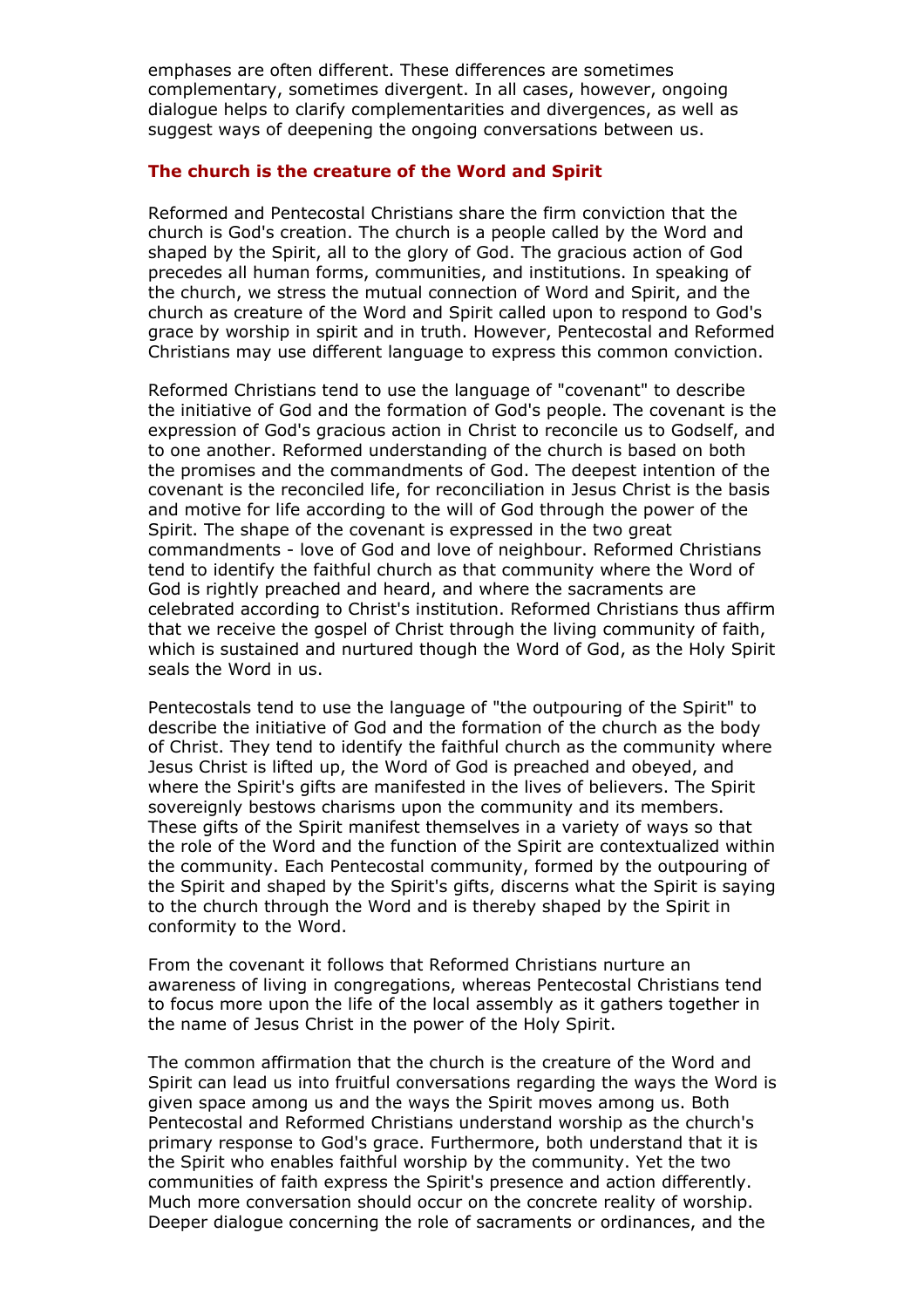emphases are often different. These differences are sometimes complementary, sometimes divergent. In all cases, however, ongoing dialogue helps to clarify complementarities and divergences, as well as suggest ways of deepening the ongoing conversations between us.

#### **The church is the creature of the Word and Spirit**

Reformed and Pentecostal Christians share the firm conviction that the church is God's creation. The church is a people called by the Word and shaped by the Spirit, all to the glory of God. The gracious action of God precedes all human forms, communities, and institutions. In speaking of the church, we stress the mutual connection of Word and Spirit, and the church as creature of the Word and Spirit called upon to respond to God's grace by worship in spirit and in truth. However, Pentecostal and Reformed Christians may use different language to express this common conviction.

Reformed Christians tend to use the language of "covenant" to describe the initiative of God and the formation of God's people. The covenant is the expression of God's gracious action in Christ to reconcile us to Godself, and to one another. Reformed understanding of the church is based on both the promises and the commandments of God. The deepest intention of the covenant is the reconciled life, for reconciliation in Jesus Christ is the basis and motive for life according to the will of God through the power of the Spirit. The shape of the covenant is expressed in the two great commandments - love of God and love of neighbour. Reformed Christians tend to identify the faithful church as that community where the Word of God is rightly preached and heard, and where the sacraments are celebrated according to Christ's institution. Reformed Christians thus affirm that we receive the gospel of Christ through the living community of faith, which is sustained and nurtured though the Word of God, as the Holy Spirit seals the Word in us.

Pentecostals tend to use the language of "the outpouring of the Spirit" to describe the initiative of God and the formation of the church as the body of Christ. They tend to identify the faithful church as the community where Jesus Christ is lifted up, the Word of God is preached and obeyed, and where the Spirit's gifts are manifested in the lives of believers. The Spirit sovereignly bestows charisms upon the community and its members. These gifts of the Spirit manifest themselves in a variety of ways so that the role of the Word and the function of the Spirit are contextualized within the community. Each Pentecostal community, formed by the outpouring of the Spirit and shaped by the Spirit's gifts, discerns what the Spirit is saying to the church through the Word and is thereby shaped by the Spirit in conformity to the Word.

From the covenant it follows that Reformed Christians nurture an awareness of living in congregations, whereas Pentecostal Christians tend to focus more upon the life of the local assembly as it gathers together in the name of Jesus Christ in the power of the Holy Spirit.

The common affirmation that the church is the creature of the Word and Spirit can lead us into fruitful conversations regarding the ways the Word is given space among us and the ways the Spirit moves among us. Both Pentecostal and Reformed Christians understand worship as the church's primary response to God's grace. Furthermore, both understand that it is the Spirit who enables faithful worship by the community. Yet the two communities of faith express the Spirit's presence and action differently. Much more conversation should occur on the concrete reality of worship. Deeper dialogue concerning the role of sacraments or ordinances, and the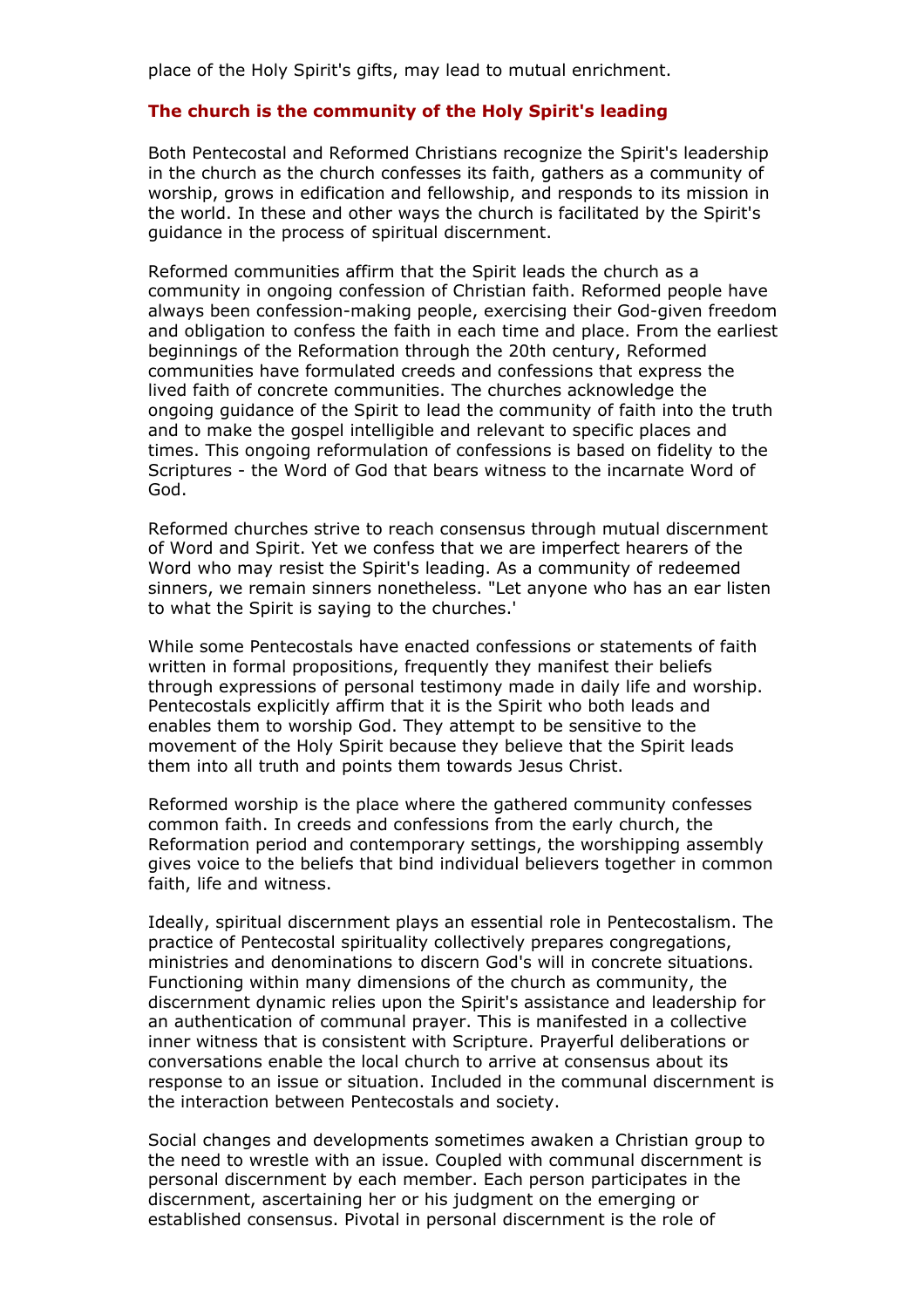place of the Holy Spirit's gifts, may lead to mutual enrichment.

### **The church is the community of the Holy Spirit's leading**

Both Pentecostal and Reformed Christians recognize the Spirit's leadership in the church as the church confesses its faith, gathers as a community of worship, grows in edification and fellowship, and responds to its mission in the world. In these and other ways the church is facilitated by the Spirit's guidance in the process of spiritual discernment.

Reformed communities affirm that the Spirit leads the church as a community in ongoing confession of Christian faith. Reformed people have always been confession-making people, exercising their God-given freedom and obligation to confess the faith in each time and place. From the earliest beginnings of the Reformation through the 20th century, Reformed communities have formulated creeds and confessions that express the lived faith of concrete communities. The churches acknowledge the ongoing guidance of the Spirit to lead the community of faith into the truth and to make the gospel intelligible and relevant to specific places and times. This ongoing reformulation of confessions is based on fidelity to the Scriptures - the Word of God that bears witness to the incarnate Word of God.

Reformed churches strive to reach consensus through mutual discernment of Word and Spirit. Yet we confess that we are imperfect hearers of the Word who may resist the Spirit's leading. As a community of redeemed sinners, we remain sinners nonetheless. "Let anyone who has an ear listen to what the Spirit is saying to the churches.'

While some Pentecostals have enacted confessions or statements of faith written in formal propositions, frequently they manifest their beliefs through expressions of personal testimony made in daily life and worship. Pentecostals explicitly affirm that it is the Spirit who both leads and enables them to worship God. They attempt to be sensitive to the movement of the Holy Spirit because they believe that the Spirit leads them into all truth and points them towards Jesus Christ.

Reformed worship is the place where the gathered community confesses common faith. In creeds and confessions from the early church, the Reformation period and contemporary settings, the worshipping assembly gives voice to the beliefs that bind individual believers together in common faith, life and witness.

Ideally, spiritual discernment plays an essential role in Pentecostalism. The practice of Pentecostal spirituality collectively prepares congregations, ministries and denominations to discern God's will in concrete situations. Functioning within many dimensions of the church as community, the discernment dynamic relies upon the Spirit's assistance and leadership for an authentication of communal prayer. This is manifested in a collective inner witness that is consistent with Scripture. Prayerful deliberations or conversations enable the local church to arrive at consensus about its response to an issue or situation. Included in the communal discernment is the interaction between Pentecostals and society.

Social changes and developments sometimes awaken a Christian group to the need to wrestle with an issue. Coupled with communal discernment is personal discernment by each member. Each person participates in the discernment, ascertaining her or his judgment on the emerging or established consensus. Pivotal in personal discernment is the role of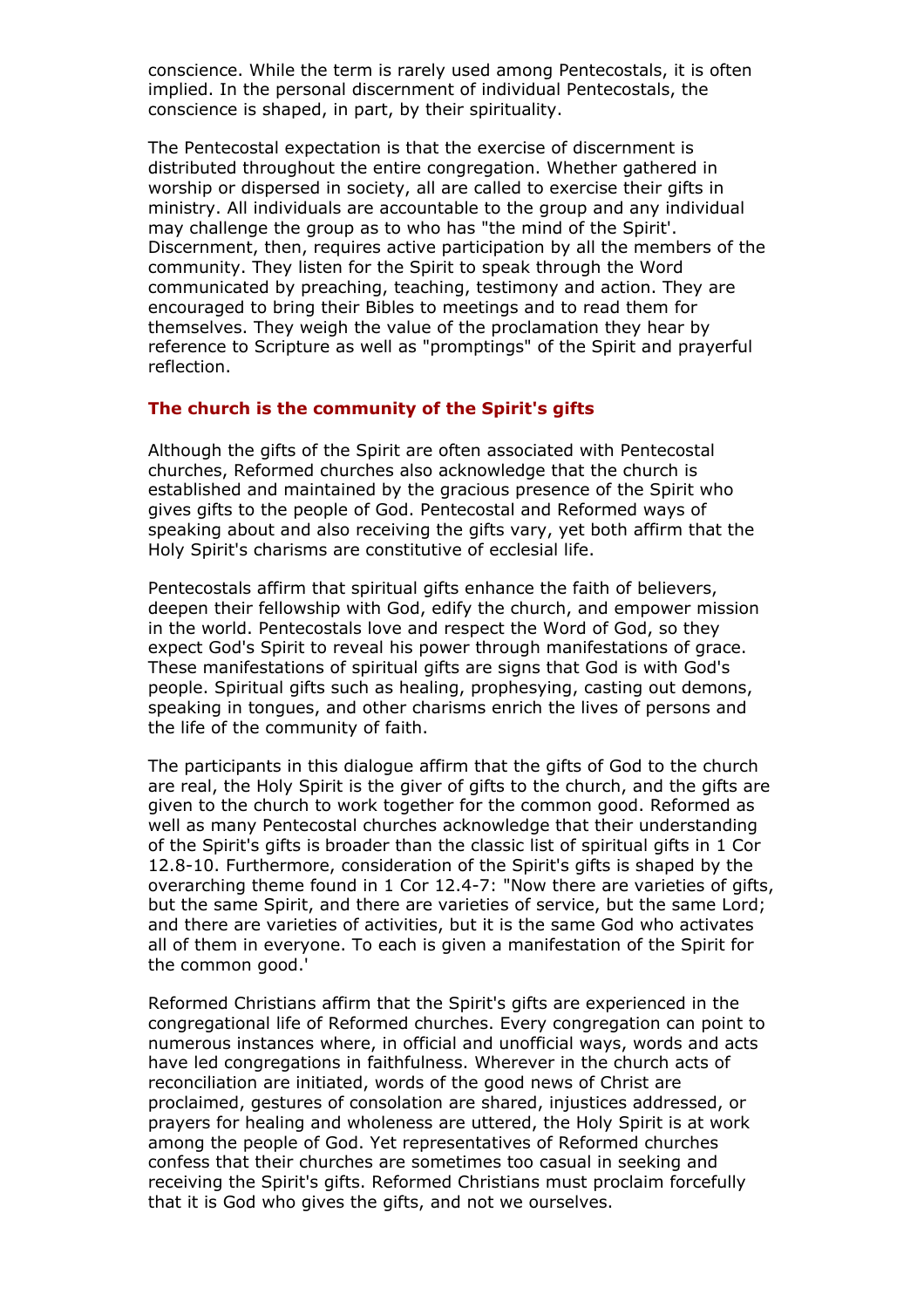conscience. While the term is rarely used among Pentecostals, it is often implied. In the personal discernment of individual Pentecostals, the conscience is shaped, in part, by their spirituality.

The Pentecostal expectation is that the exercise of discernment is distributed throughout the entire congregation. Whether gathered in worship or dispersed in society, all are called to exercise their gifts in ministry. All individuals are accountable to the group and any individual may challenge the group as to who has "the mind of the Spirit'. Discernment, then, requires active participation by all the members of the community. They listen for the Spirit to speak through the Word communicated by preaching, teaching, testimony and action. They are encouraged to bring their Bibles to meetings and to read them for themselves. They weigh the value of the proclamation they hear by reference to Scripture as well as "promptings" of the Spirit and prayerful reflection.

#### **The church is the community of the Spirit's gifts**

Although the gifts of the Spirit are often associated with Pentecostal churches, Reformed churches also acknowledge that the church is established and maintained by the gracious presence of the Spirit who gives gifts to the people of God. Pentecostal and Reformed ways of speaking about and also receiving the gifts vary, yet both affirm that the Holy Spirit's charisms are constitutive of ecclesial life.

Pentecostals affirm that spiritual gifts enhance the faith of believers, deepen their fellowship with God, edify the church, and empower mission in the world. Pentecostals love and respect the Word of God, so they expect God's Spirit to reveal his power through manifestations of grace. These manifestations of spiritual gifts are signs that God is with God's people. Spiritual gifts such as healing, prophesying, casting out demons, speaking in tongues, and other charisms enrich the lives of persons and the life of the community of faith.

The participants in this dialogue affirm that the gifts of God to the church are real, the Holy Spirit is the giver of gifts to the church, and the gifts are given to the church to work together for the common good. Reformed as well as many Pentecostal churches acknowledge that their understanding of the Spirit's gifts is broader than the classic list of spiritual gifts in 1 Cor 12.8-10. Furthermore, consideration of the Spirit's gifts is shaped by the overarching theme found in 1 Cor 12.4-7: "Now there are varieties of gifts, but the same Spirit, and there are varieties of service, but the same Lord; and there are varieties of activities, but it is the same God who activates all of them in everyone. To each is given a manifestation of the Spirit for the common good.'

Reformed Christians affirm that the Spirit's gifts are experienced in the congregational life of Reformed churches. Every congregation can point to numerous instances where, in official and unofficial ways, words and acts have led congregations in faithfulness. Wherever in the church acts of reconciliation are initiated, words of the good news of Christ are proclaimed, gestures of consolation are shared, injustices addressed, or prayers for healing and wholeness are uttered, the Holy Spirit is at work among the people of God. Yet representatives of Reformed churches confess that their churches are sometimes too casual in seeking and receiving the Spirit's gifts. Reformed Christians must proclaim forcefully that it is God who gives the gifts, and not we ourselves.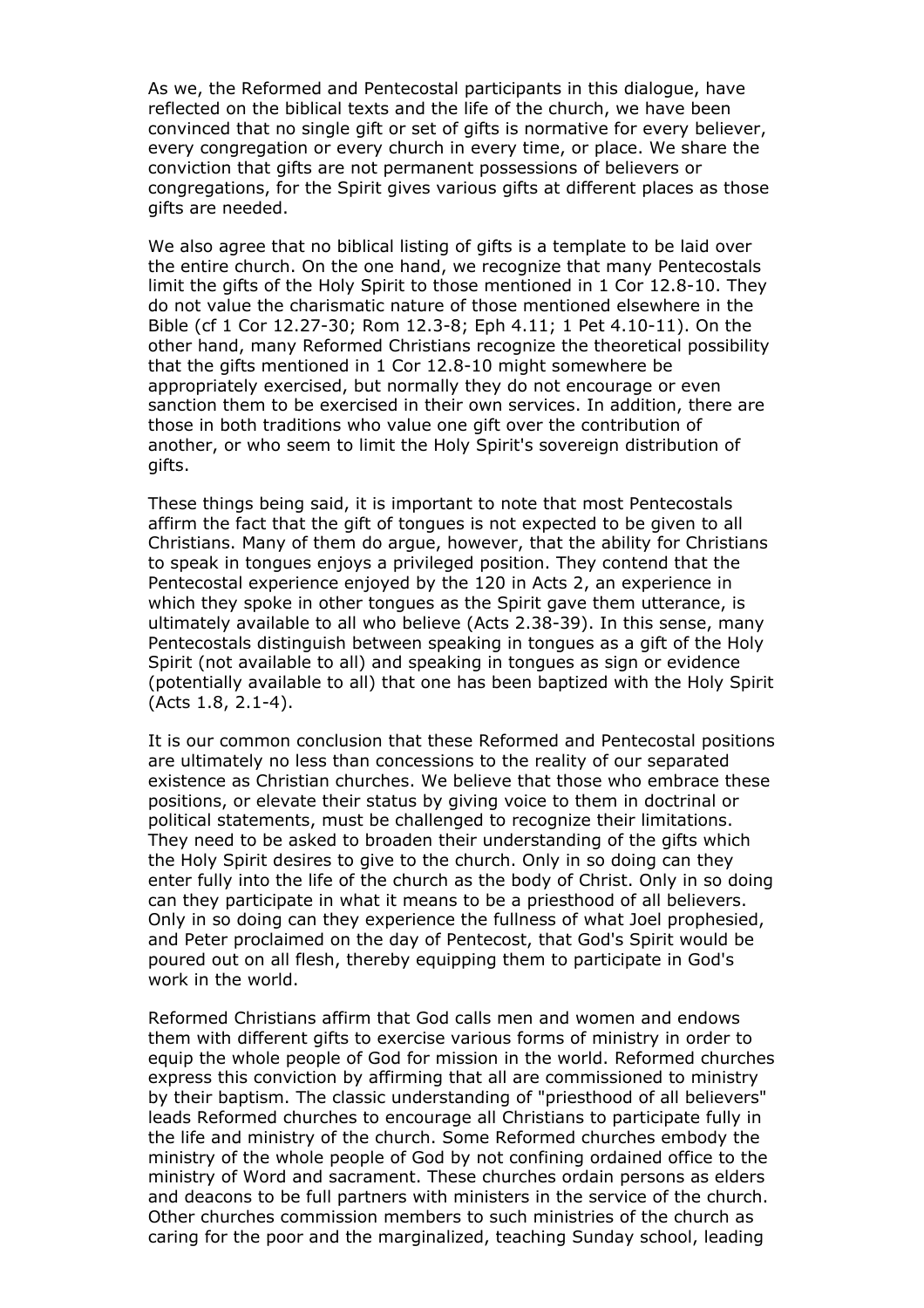As we, the Reformed and Pentecostal participants in this dialogue, have reflected on the biblical texts and the life of the church, we have been convinced that no single gift or set of gifts is normative for every believer, every congregation or every church in every time, or place. We share the conviction that gifts are not permanent possessions of believers or congregations, for the Spirit gives various gifts at different places as those gifts are needed.

We also agree that no biblical listing of gifts is a template to be laid over the entire church. On the one hand, we recognize that many Pentecostals limit the gifts of the Holy Spirit to those mentioned in 1 Cor 12.8-10. They do not value the charismatic nature of those mentioned elsewhere in the Bible (cf 1 Cor 12.27-30; Rom 12.3-8; Eph 4.11; 1 Pet 4.10-11). On the other hand, many Reformed Christians recognize the theoretical possibility that the gifts mentioned in 1 Cor 12.8-10 might somewhere be appropriately exercised, but normally they do not encourage or even sanction them to be exercised in their own services. In addition, there are those in both traditions who value one gift over the contribution of another, or who seem to limit the Holy Spirit's sovereign distribution of gifts.

These things being said, it is important to note that most Pentecostals affirm the fact that the gift of tongues is not expected to be given to all Christians. Many of them do argue, however, that the ability for Christians to speak in tongues enjoys a privileged position. They contend that the Pentecostal experience enjoyed by the 120 in Acts 2, an experience in which they spoke in other tongues as the Spirit gave them utterance, is ultimately available to all who believe (Acts 2.38-39). In this sense, many Pentecostals distinguish between speaking in tongues as a gift of the Holy Spirit (not available to all) and speaking in tongues as sign or evidence (potentially available to all) that one has been baptized with the Holy Spirit (Acts 1.8, 2.1-4).

It is our common conclusion that these Reformed and Pentecostal positions are ultimately no less than concessions to the reality of our separated existence as Christian churches. We believe that those who embrace these positions, or elevate their status by giving voice to them in doctrinal or political statements, must be challenged to recognize their limitations. They need to be asked to broaden their understanding of the gifts which the Holy Spirit desires to give to the church. Only in so doing can they enter fully into the life of the church as the body of Christ. Only in so doing can they participate in what it means to be a priesthood of all believers. Only in so doing can they experience the fullness of what Joel prophesied, and Peter proclaimed on the day of Pentecost, that God's Spirit would be poured out on all flesh, thereby equipping them to participate in God's work in the world.

Reformed Christians affirm that God calls men and women and endows them with different gifts to exercise various forms of ministry in order to equip the whole people of God for mission in the world. Reformed churches express this conviction by affirming that all are commissioned to ministry by their baptism. The classic understanding of "priesthood of all believers" leads Reformed churches to encourage all Christians to participate fully in the life and ministry of the church. Some Reformed churches embody the ministry of the whole people of God by not confining ordained office to the ministry of Word and sacrament. These churches ordain persons as elders and deacons to be full partners with ministers in the service of the church. Other churches commission members to such ministries of the church as caring for the poor and the marginalized, teaching Sunday school, leading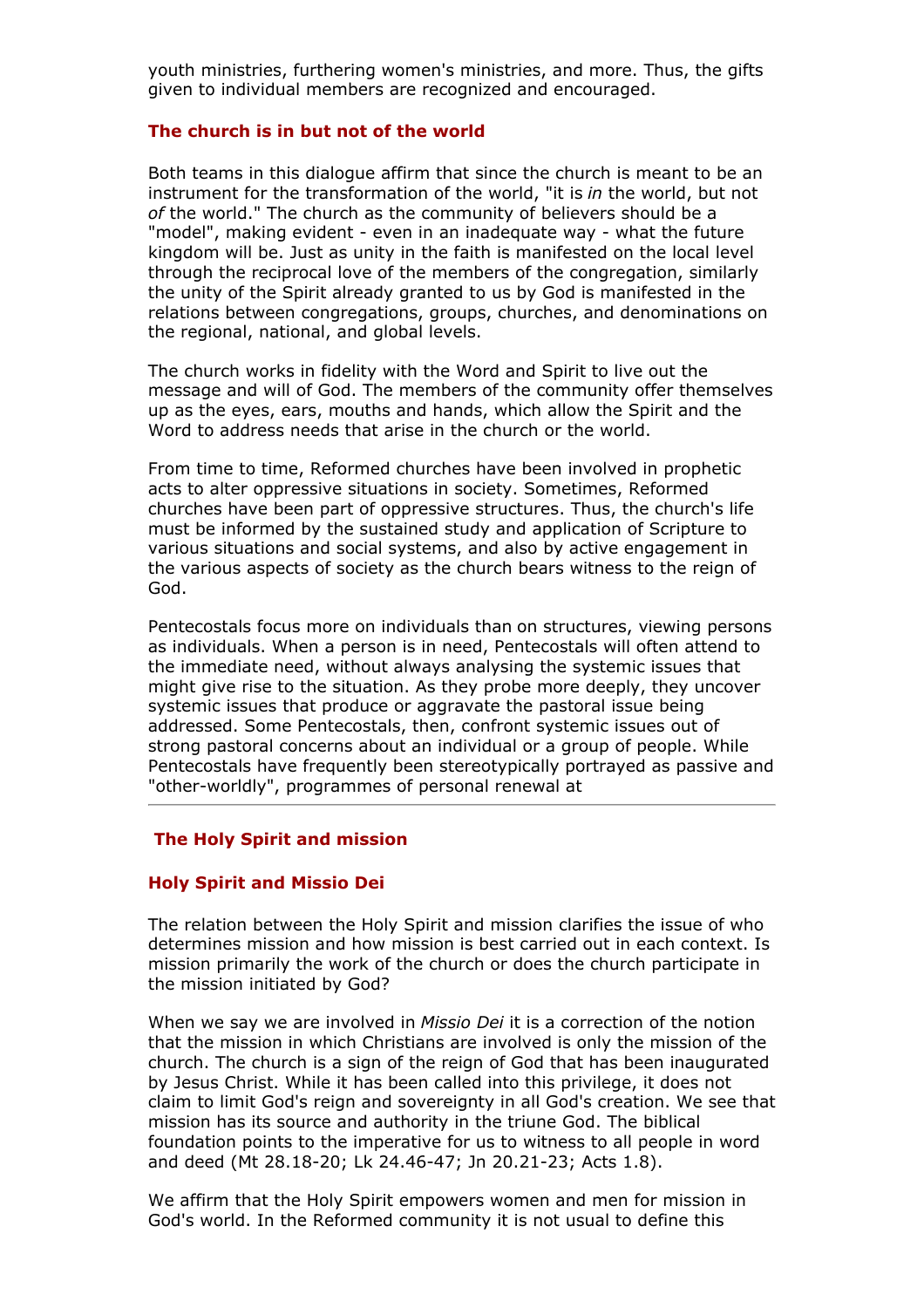youth ministries, furthering women's ministries, and more. Thus, the gifts given to individual members are recognized and encouraged.

#### **The church is in but not of the world**

Both teams in this dialogue affirm that since the church is meant to be an instrument for the transformation of the world, "it is *in* the world, but not *of* the world." The church as the community of believers should be a "model", making evident - even in an inadequate way - what the future kingdom will be. Just as unity in the faith is manifested on the local level through the reciprocal love of the members of the congregation, similarly the unity of the Spirit already granted to us by God is manifested in the relations between congregations, groups, churches, and denominations on the regional, national, and global levels.

The church works in fidelity with the Word and Spirit to live out the message and will of God. The members of the community offer themselves up as the eyes, ears, mouths and hands, which allow the Spirit and the Word to address needs that arise in the church or the world.

From time to time, Reformed churches have been involved in prophetic acts to alter oppressive situations in society. Sometimes, Reformed churches have been part of oppressive structures. Thus, the church's life must be informed by the sustained study and application of Scripture to various situations and social systems, and also by active engagement in the various aspects of society as the church bears witness to the reign of God.

Pentecostals focus more on individuals than on structures, viewing persons as individuals. When a person is in need, Pentecostals will often attend to the immediate need, without always analysing the systemic issues that might give rise to the situation. As they probe more deeply, they uncover systemic issues that produce or aggravate the pastoral issue being addressed. Some Pentecostals, then, confront systemic issues out of strong pastoral concerns about an individual or a group of people. While Pentecostals have frequently been stereotypically portrayed as passive and "other-worldly", programmes of personal renewal at

## **The Holy Spirit and mission**

#### **Holy Spirit and Missio Dei**

The relation between the Holy Spirit and mission clarifies the issue of who determines mission and how mission is best carried out in each context. Is mission primarily the work of the church or does the church participate in the mission initiated by God?

When we say we are involved in *Missio Dei* it is a correction of the notion that the mission in which Christians are involved is only the mission of the church. The church is a sign of the reign of God that has been inaugurated by Jesus Christ. While it has been called into this privilege, it does not claim to limit God's reign and sovereignty in all God's creation. We see that mission has its source and authority in the triune God. The biblical foundation points to the imperative for us to witness to all people in word and deed (Mt 28.18-20; Lk 24.46-47; Jn 20.21-23; Acts 1.8).

We affirm that the Holy Spirit empowers women and men for mission in God's world. In the Reformed community it is not usual to define this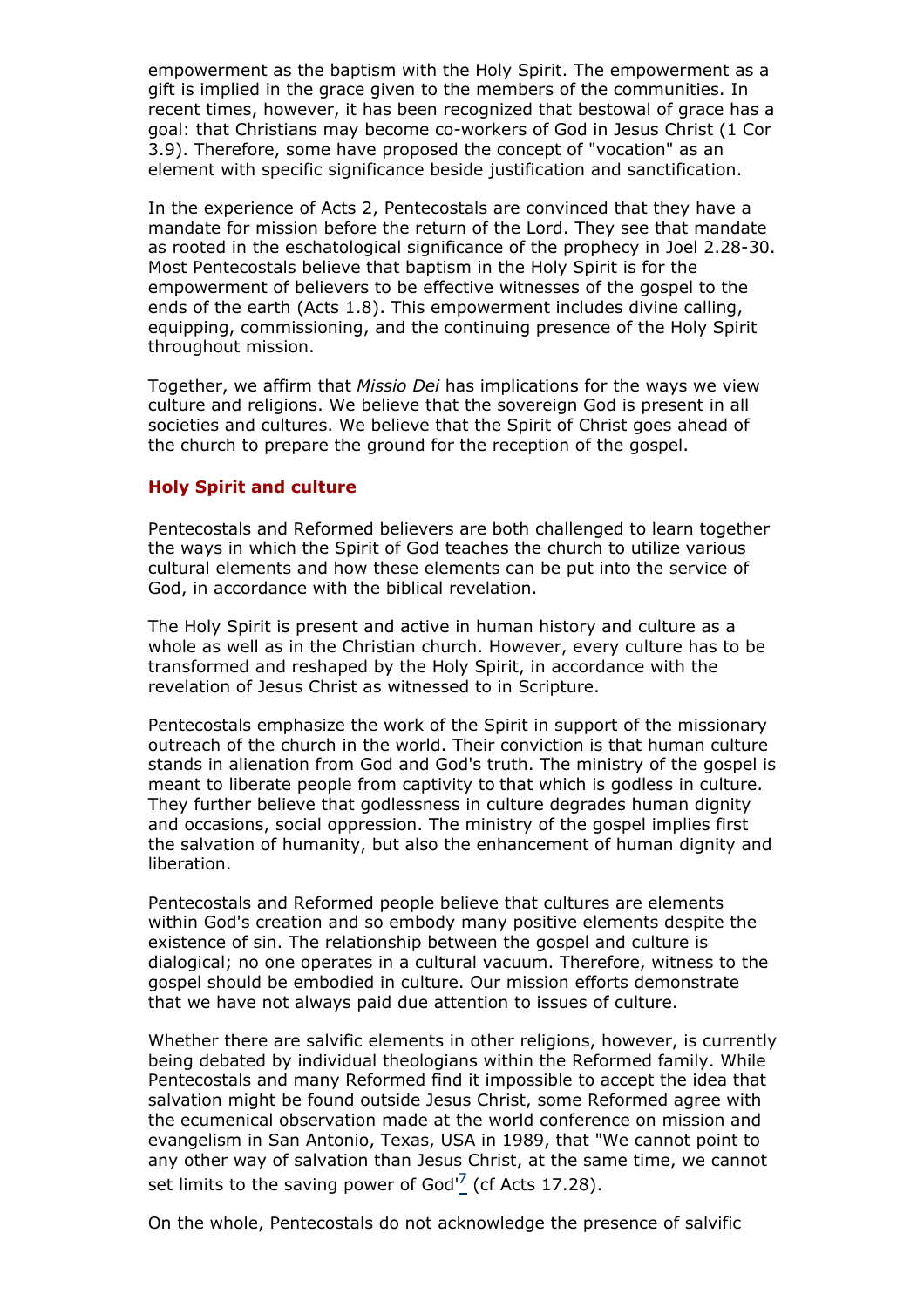empowerment as the baptism with the Holy Spirit. The empowerment as a gift is implied in the grace given to the members of the communities. In recent times, however, it has been recognized that bestowal of grace has a goal: that Christians may become co-workers of God in Jesus Christ (1 Cor 3.9). Therefore, some have proposed the concept of "vocation" as an element with specific significance beside justification and sanctification.

In the experience of Acts 2, Pentecostals are convinced that they have a mandate for mission before the return of the Lord. They see that mandate as rooted in the eschatological significance of the prophecy in Joel 2.28-30. Most Pentecostals believe that baptism in the Holy Spirit is for the empowerment of believers to be effective witnesses of the gospel to the ends of the earth (Acts 1.8). This empowerment includes divine calling, equipping, commissioning, and the continuing presence of the Holy Spirit throughout mission.

Together, we affirm that *Missio Dei* has implications for the ways we view culture and religions. We believe that the sovereign God is present in all societies and cultures. We believe that the Spirit of Christ goes ahead of the church to prepare the ground for the reception of the gospel.

## **Holy Spirit and culture**

Pentecostals and Reformed believers are both challenged to learn together the ways in which the Spirit of God teaches the church to utilize various cultural elements and how these elements can be put into the service of God, in accordance with the biblical revelation.

The Holy Spirit is present and active in human history and culture as a whole as well as in the Christian church. However, every culture has to be transformed and reshaped by the Holy Spirit, in accordance with the revelation of Jesus Christ as witnessed to in Scripture.

Pentecostals emphasize the work of the Spirit in support of the missionary outreach of the church in the world. Their conviction is that human culture stands in alienation from God and God's truth. The ministry of the gospel is meant to liberate people from captivity to that which is godless in culture. They further believe that godlessness in culture degrades human dignity and occasions, social oppression. The ministry of the gospel implies first the salvation of humanity, but also the enhancement of human dignity and liberation.

Pentecostals and Reformed people believe that cultures are elements within God's creation and so embody many positive elements despite the existence of sin. The relationship between the gospel and culture is dialogical; no one operates in a cultural vacuum. Therefore, witness to the gospel should be embodied in culture. Our mission efforts demonstrate that we have not always paid due attention to issues of culture.

Whether there are salvific elements in other religions, however, is currently being debated by individual theologians within the Reformed family. While Pentecostals and many Reformed find it impossible to accept the idea that salvation might be found outside Jesus Christ, some Reformed agree with the ecumenical observation made at the world conference on mission and evangelism in San Antonio, Texas, USA in 1989, that "We cannot point to any other way of salvation than Jesus Christ, at the same time, we cannot set limits to the saving power of God $^7$  (cf Acts 17.28).

On the whole, Pentecostals do not acknowledge the presence of salvific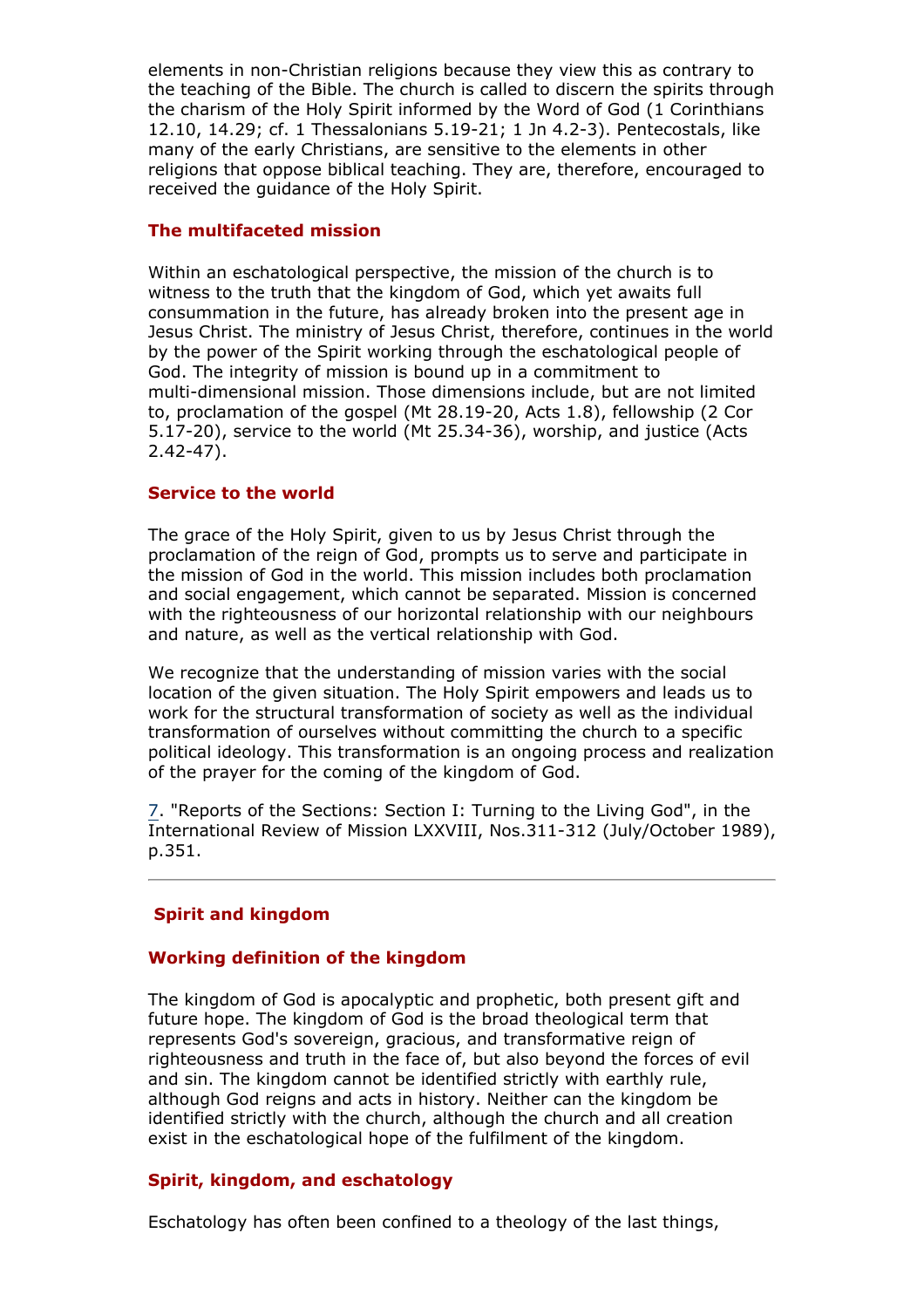elements in non-Christian religions because they view this as contrary to the teaching of the Bible. The church is called to discern the spirits through the charism of the Holy Spirit informed by the Word of God (1 Corinthians 12.10, 14.29; cf. 1 Thessalonians 5.19-21; 1 Jn 4.2-3). Pentecostals, like many of the early Christians, are sensitive to the elements in other religions that oppose biblical teaching. They are, therefore, encouraged to received the guidance of the Holy Spirit.

## **The multifaceted mission**

Within an eschatological perspective, the mission of the church is to witness to the truth that the kingdom of God, which yet awaits full consummation in the future, has already broken into the present age in Jesus Christ. The ministry of Jesus Christ, therefore, continues in the world by the power of the Spirit working through the eschatological people of God. The integrity of mission is bound up in a commitment to multi-dimensional mission. Those dimensions include, but are not limited to, proclamation of the gospel (Mt 28.19-20, Acts 1.8), fellowship (2 Cor 5.17-20), service to the world (Mt 25.34-36), worship, and justice (Acts 2.42-47).

## **Service to the world**

The grace of the Holy Spirit, given to us by Jesus Christ through the proclamation of the reign of God, prompts us to serve and participate in the mission of God in the world. This mission includes both proclamation and social engagement, which cannot be separated. Mission is concerned with the righteousness of our horizontal relationship with our neighbours and nature, as well as the vertical relationship with God.

We recognize that the understanding of mission varies with the social location of the given situation. The Holy Spirit empowers and leads us to work for the structural transformation of society as well as the individual transformation of ourselves without committing the church to a specific political ideology. This transformation is an ongoing process and realization of the prayer for the coming of the kingdom of God.

7. "Reports of the Sections: Section I: Turning to the Living God", in the International Review of Mission LXXVIII, Nos.311-312 (July/October 1989), p.351.

## **Spirit and kingdom**

## **Working definition of the kingdom**

The kingdom of God is apocalyptic and prophetic, both present gift and future hope. The kingdom of God is the broad theological term that represents God's sovereign, gracious, and transformative reign of righteousness and truth in the face of, but also beyond the forces of evil and sin. The kingdom cannot be identified strictly with earthly rule, although God reigns and acts in history. Neither can the kingdom be identified strictly with the church, although the church and all creation exist in the eschatological hope of the fulfilment of the kingdom.

## **Spirit, kingdom, and eschatology**

Eschatology has often been confined to a theology of the last things,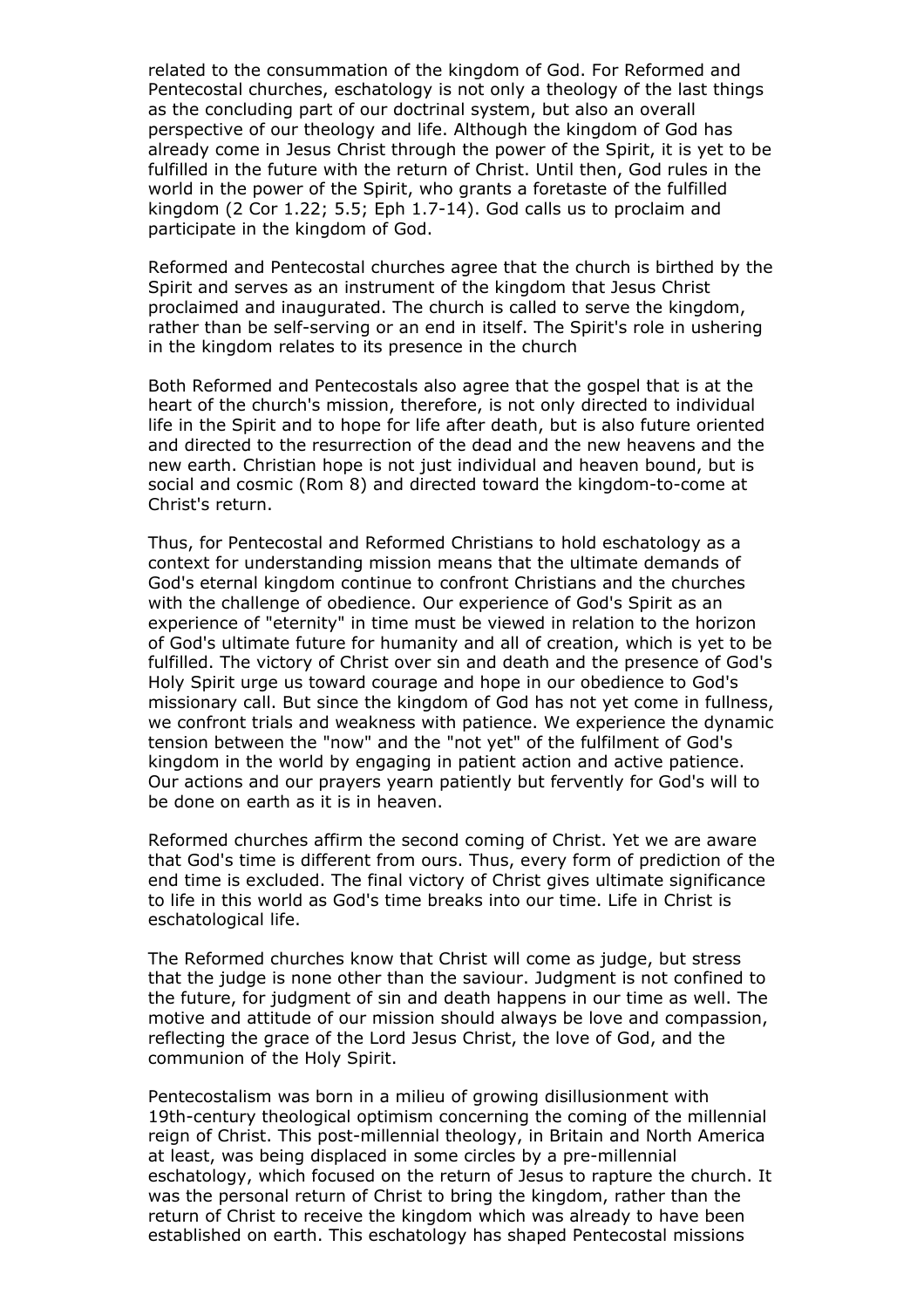related to the consummation of the kingdom of God. For Reformed and Pentecostal churches, eschatology is not only a theology of the last things as the concluding part of our doctrinal system, but also an overall perspective of our theology and life. Although the kingdom of God has already come in Jesus Christ through the power of the Spirit, it is yet to be fulfilled in the future with the return of Christ. Until then, God rules in the world in the power of the Spirit, who grants a foretaste of the fulfilled kingdom (2 Cor 1.22; 5.5; Eph 1.7-14). God calls us to proclaim and participate in the kingdom of God.

Reformed and Pentecostal churches agree that the church is birthed by the Spirit and serves as an instrument of the kingdom that Jesus Christ proclaimed and inaugurated. The church is called to serve the kingdom, rather than be self-serving or an end in itself. The Spirit's role in ushering in the kingdom relates to its presence in the church

Both Reformed and Pentecostals also agree that the gospel that is at the heart of the church's mission, therefore, is not only directed to individual life in the Spirit and to hope for life after death, but is also future oriented and directed to the resurrection of the dead and the new heavens and the new earth. Christian hope is not just individual and heaven bound, but is social and cosmic (Rom 8) and directed toward the kingdom-to-come at Christ's return.

Thus, for Pentecostal and Reformed Christians to hold eschatology as a context for understanding mission means that the ultimate demands of God's eternal kingdom continue to confront Christians and the churches with the challenge of obedience. Our experience of God's Spirit as an experience of "eternity" in time must be viewed in relation to the horizon of God's ultimate future for humanity and all of creation, which is yet to be fulfilled. The victory of Christ over sin and death and the presence of God's Holy Spirit urge us toward courage and hope in our obedience to God's missionary call. But since the kingdom of God has not yet come in fullness, we confront trials and weakness with patience. We experience the dynamic tension between the "now" and the "not yet" of the fulfilment of God's kingdom in the world by engaging in patient action and active patience. Our actions and our prayers yearn patiently but fervently for God's will to be done on earth as it is in heaven.

Reformed churches affirm the second coming of Christ. Yet we are aware that God's time is different from ours. Thus, every form of prediction of the end time is excluded. The final victory of Christ gives ultimate significance to life in this world as God's time breaks into our time. Life in Christ is eschatological life.

The Reformed churches know that Christ will come as judge, but stress that the judge is none other than the saviour. Judgment is not confined to the future, for judgment of sin and death happens in our time as well. The motive and attitude of our mission should always be love and compassion, reflecting the grace of the Lord Jesus Christ, the love of God, and the communion of the Holy Spirit.

Pentecostalism was born in a milieu of growing disillusionment with 19th-century theological optimism concerning the coming of the millennial reign of Christ. This post-millennial theology, in Britain and North America at least, was being displaced in some circles by a pre-millennial eschatology, which focused on the return of Jesus to rapture the church. It was the personal return of Christ to bring the kingdom, rather than the return of Christ to receive the kingdom which was already to have been established on earth. This eschatology has shaped Pentecostal missions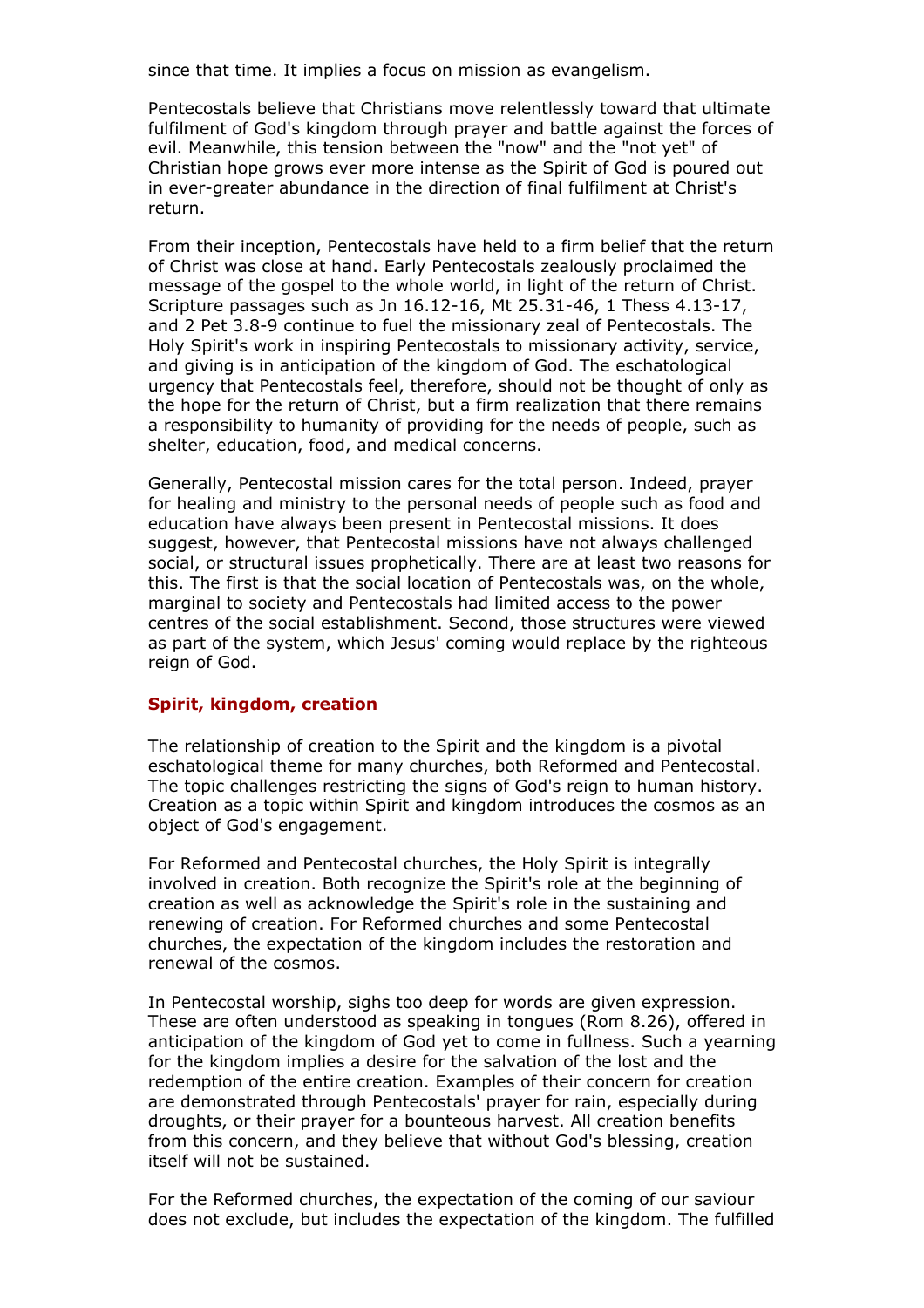since that time. It implies a focus on mission as evangelism.

Pentecostals believe that Christians move relentlessly toward that ultimate fulfilment of God's kingdom through prayer and battle against the forces of evil. Meanwhile, this tension between the "now" and the "not yet" of Christian hope grows ever more intense as the Spirit of God is poured out in ever-greater abundance in the direction of final fulfilment at Christ's return.

From their inception, Pentecostals have held to a firm belief that the return of Christ was close at hand. Early Pentecostals zealously proclaimed the message of the gospel to the whole world, in light of the return of Christ. Scripture passages such as Jn 16.12-16, Mt 25.31-46, 1 Thess 4.13-17, and 2 Pet 3.8-9 continue to fuel the missionary zeal of Pentecostals. The Holy Spirit's work in inspiring Pentecostals to missionary activity, service, and giving is in anticipation of the kingdom of God. The eschatological urgency that Pentecostals feel, therefore, should not be thought of only as the hope for the return of Christ, but a firm realization that there remains a responsibility to humanity of providing for the needs of people, such as shelter, education, food, and medical concerns.

Generally, Pentecostal mission cares for the total person. Indeed, prayer for healing and ministry to the personal needs of people such as food and education have always been present in Pentecostal missions. It does suggest, however, that Pentecostal missions have not always challenged social, or structural issues prophetically. There are at least two reasons for this. The first is that the social location of Pentecostals was, on the whole, marginal to society and Pentecostals had limited access to the power centres of the social establishment. Second, those structures were viewed as part of the system, which Jesus' coming would replace by the righteous reign of God.

## **Spirit, kingdom, creation**

The relationship of creation to the Spirit and the kingdom is a pivotal eschatological theme for many churches, both Reformed and Pentecostal. The topic challenges restricting the signs of God's reign to human history. Creation as a topic within Spirit and kingdom introduces the cosmos as an object of God's engagement.

For Reformed and Pentecostal churches, the Holy Spirit is integrally involved in creation. Both recognize the Spirit's role at the beginning of creation as well as acknowledge the Spirit's role in the sustaining and renewing of creation. For Reformed churches and some Pentecostal churches, the expectation of the kingdom includes the restoration and renewal of the cosmos.

In Pentecostal worship, sighs too deep for words are given expression. These are often understood as speaking in tongues (Rom 8.26), offered in anticipation of the kingdom of God yet to come in fullness. Such a yearning for the kingdom implies a desire for the salvation of the lost and the redemption of the entire creation. Examples of their concern for creation are demonstrated through Pentecostals' prayer for rain, especially during droughts, or their prayer for a bounteous harvest. All creation benefits from this concern, and they believe that without God's blessing, creation itself will not be sustained.

For the Reformed churches, the expectation of the coming of our saviour does not exclude, but includes the expectation of the kingdom. The fulfilled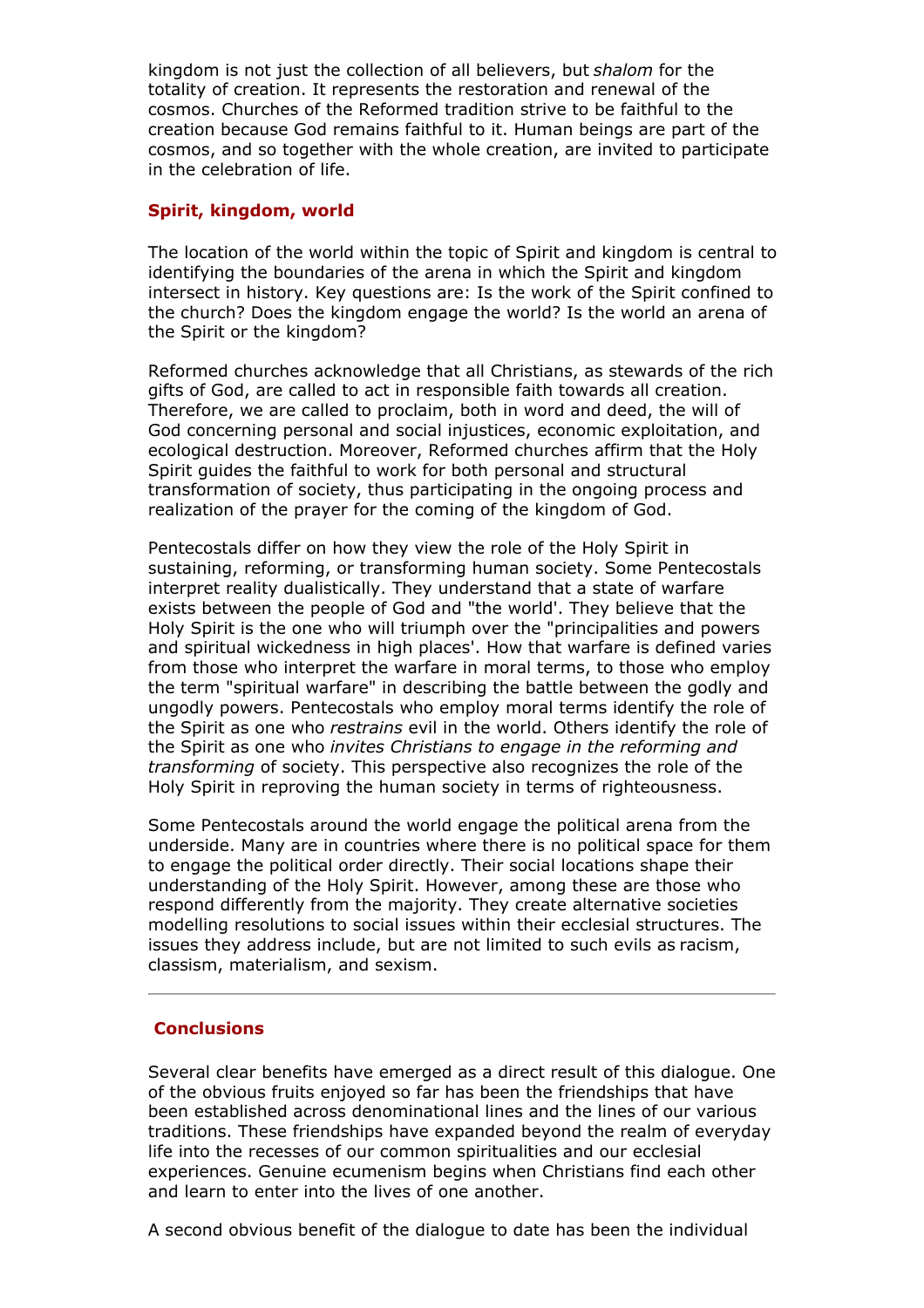kingdom is not just the collection of all believers, but *shalom* for the totality of creation. It represents the restoration and renewal of the cosmos. Churches of the Reformed tradition strive to be faithful to the creation because God remains faithful to it. Human beings are part of the cosmos, and so together with the whole creation, are invited to participate in the celebration of life.

## **Spirit, kingdom, world**

The location of the world within the topic of Spirit and kingdom is central to identifying the boundaries of the arena in which the Spirit and kingdom intersect in history. Key questions are: Is the work of the Spirit confined to the church? Does the kingdom engage the world? Is the world an arena of the Spirit or the kingdom?

Reformed churches acknowledge that all Christians, as stewards of the rich gifts of God, are called to act in responsible faith towards all creation. Therefore, we are called to proclaim, both in word and deed, the will of God concerning personal and social injustices, economic exploitation, and ecological destruction. Moreover, Reformed churches affirm that the Holy Spirit guides the faithful to work for both personal and structural transformation of society, thus participating in the ongoing process and realization of the prayer for the coming of the kingdom of God.

Pentecostals differ on how they view the role of the Holy Spirit in sustaining, reforming, or transforming human society. Some Pentecostals interpret reality dualistically. They understand that a state of warfare exists between the people of God and "the world'. They believe that the Holy Spirit is the one who will triumph over the "principalities and powers and spiritual wickedness in high places'. How that warfare is defined varies from those who interpret the warfare in moral terms, to those who employ the term "spiritual warfare" in describing the battle between the godly and ungodly powers. Pentecostals who employ moral terms identify the role of the Spirit as one who *restrains* evil in the world. Others identify the role of the Spirit as one who *invites Christians to engage in the reforming and transforming* of society. This perspective also recognizes the role of the Holy Spirit in reproving the human society in terms of righteousness.

Some Pentecostals around the world engage the political arena from the underside. Many are in countries where there is no political space for them to engage the political order directly. Their social locations shape their understanding of the Holy Spirit. However, among these are those who respond differently from the majority. They create alternative societies modelling resolutions to social issues within their ecclesial structures. The issues they address include, but are not limited to such evils as racism, classism, materialism, and sexism.

## **Conclusions**

Several clear benefits have emerged as a direct result of this dialogue. One of the obvious fruits enjoyed so far has been the friendships that have been established across denominational lines and the lines of our various traditions. These friendships have expanded beyond the realm of everyday life into the recesses of our common spiritualities and our ecclesial experiences. Genuine ecumenism begins when Christians find each other and learn to enter into the lives of one another.

A second obvious benefit of the dialogue to date has been the individual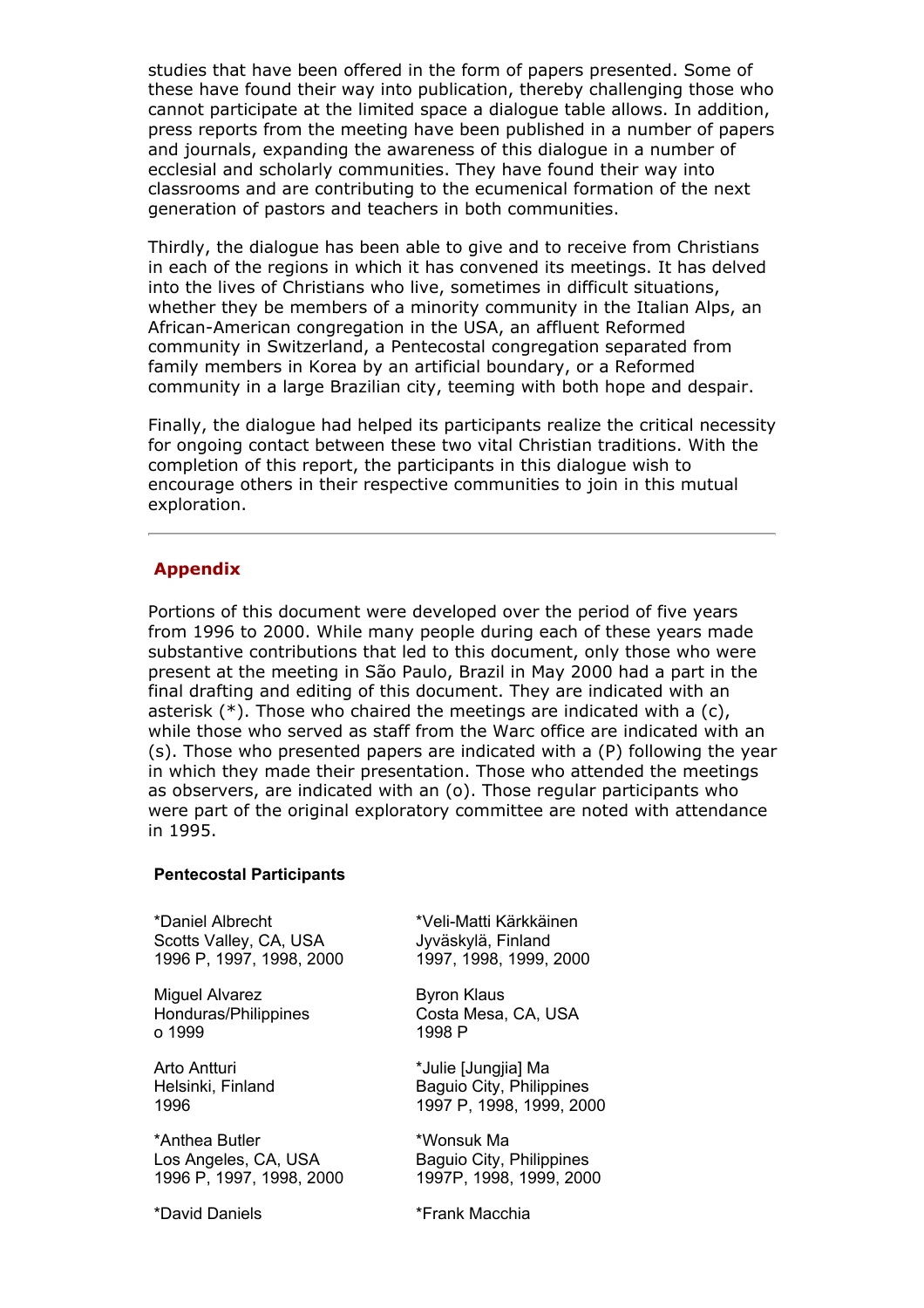studies that have been offered in the form of papers presented. Some of these have found their way into publication, thereby challenging those who cannot participate at the limited space a dialogue table allows. In addition, press reports from the meeting have been published in a number of papers and journals, expanding the awareness of this dialogue in a number of ecclesial and scholarly communities. They have found their way into classrooms and are contributing to the ecumenical formation of the next generation of pastors and teachers in both communities.

Thirdly, the dialogue has been able to give and to receive from Christians in each of the regions in which it has convened its meetings. It has delved into the lives of Christians who live, sometimes in difficult situations, whether they be members of a minority community in the Italian Alps, an African-American congregation in the USA, an affluent Reformed community in Switzerland, a Pentecostal congregation separated from family members in Korea by an artificial boundary, or a Reformed community in a large Brazilian city, teeming with both hope and despair.

Finally, the dialogue had helped its participants realize the critical necessity for ongoing contact between these two vital Christian traditions. With the completion of this report, the participants in this dialogue wish to encourage others in their respective communities to join in this mutual exploration.

## **Appendix**

Portions of this document were developed over the period of five years from 1996 to 2000. While many people during each of these years made substantive contributions that led to this document, only those who were present at the meeting in São Paulo, Brazil in May 2000 had a part in the final drafting and editing of this document. They are indicated with an asterisk (\*). Those who chaired the meetings are indicated with a (c), while those who served as staff from the Warc office are indicated with an (s). Those who presented papers are indicated with a (P) following the year in which they made their presentation. Those who attended the meetings as observers, are indicated with an (o). Those regular participants who were part of the original exploratory committee are noted with attendance in 1995.

#### **Pentecostal Participants**

\*Daniel Albrecht Scotts Valley, CA, USA 1996 P, 1997, 1998, 2000

Miguel Alvarez Honduras/Philippines o 1999

Arto Antturi Helsinki, Finland 1996

\*Anthea Butler Los Angeles, CA, USA 1996 P, 1997, 1998, 2000

\*David Daniels

\*Veli-Matti Kärkkäinen Jyväskylä, Finland 1997, 1998, 1999, 2000

Byron Klaus Costa Mesa, CA, USA 1998 P

\*Julie [Jungjia] Ma Baguio City, Philippines 1997 P, 1998, 1999, 2000

\*Wonsuk Ma Baguio City, Philippines 1997P, 1998, 1999, 2000

\*Frank Macchia